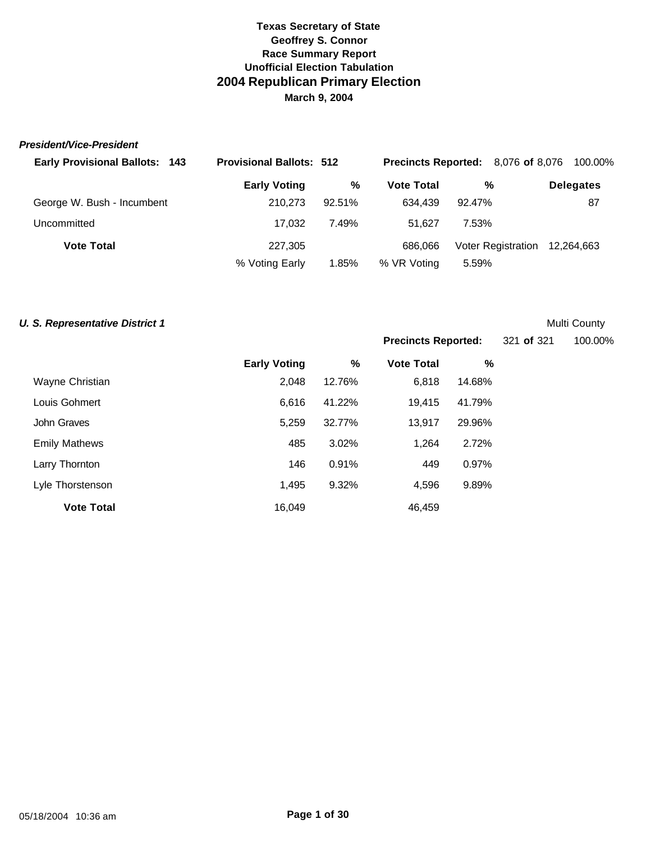### *President/Vice-President*

| <b>Early Provisional Ballots: 143</b> | <b>Provisional Ballots: 512</b> |        |                   | <b>Precincts Reported:</b> 8,076 of 8,076 | 100.00%          |
|---------------------------------------|---------------------------------|--------|-------------------|-------------------------------------------|------------------|
|                                       | <b>Early Voting</b>             | %      | <b>Vote Total</b> | %                                         | <b>Delegates</b> |
| George W. Bush - Incumbent            | 210.273                         | 92.51% | 634.439           | 92.47%                                    | 87               |
| Uncommitted                           | 17.032                          | 7.49%  | 51.627            | 7.53%                                     |                  |
| <b>Vote Total</b>                     | 227,305                         |        | 686.066           | Voter Registration 12,264,663             |                  |
|                                       | % Voting Early                  | 1.85%  | % VR Voting       | 5.59%                                     |                  |

## **U. S. Representative District 1** Multi County

**Precincts Reported:** 321 **of** 321 100.00%

|                      | <b>Early Voting</b> | $\%$   | <b>Vote Total</b> | %      |
|----------------------|---------------------|--------|-------------------|--------|
| Wayne Christian      | 2,048               | 12.76% | 6,818             | 14.68% |
| Louis Gohmert        | 6,616               | 41.22% | 19,415            | 41.79% |
| John Graves          | 5,259               | 32.77% | 13,917            | 29.96% |
| <b>Emily Mathews</b> | 485                 | 3.02%  | 1,264             | 2.72%  |
| Larry Thornton       | 146                 | 0.91%  | 449               | 0.97%  |
| Lyle Thorstenson     | 1.495               | 9.32%  | 4,596             | 9.89%  |
| <b>Vote Total</b>    | 16,049              |        | 46,459            |        |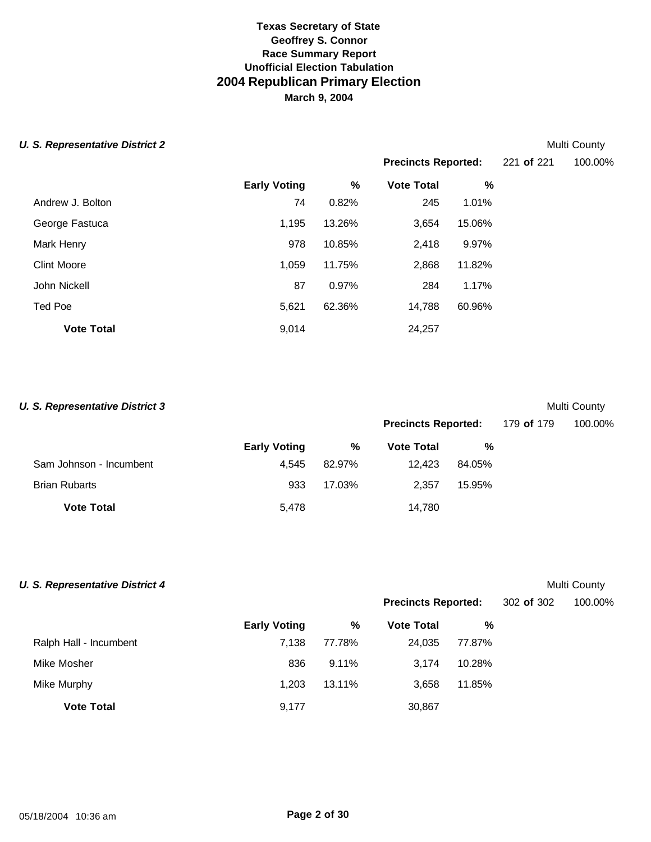$E$ arly

Clint Moore 1,059 11.75% 2,868 11.82% John Nickell 87 0.97% 284 1.17%

Ted Poe 5,621 62.36% 14,788 60.96%

**Vote Total** 24,257

## **U. S. Representative District 2** Multi County

Andrew J. Bolton George Fastuca

Mark Henry

|               |        |                                |        | <b>IVIUILI OUUIILY</b> |
|---------------|--------|--------------------------------|--------|------------------------|
|               |        | Precincts Reported: 221 of 221 |        | 100.00%                |
| <b>Voting</b> | %      | <b>Vote Total</b>              | %      |                        |
| 74            | 0.82%  | 245                            | 1.01%  |                        |
| 1.195         | 13.26% | 3.654                          | 15.06% |                        |
| 978           | 10.85% | 2.418                          | 9.97%  |                        |

| <b>U. S. Representative District 3</b> |                     |        |                            |        |            | Multi County |
|----------------------------------------|---------------------|--------|----------------------------|--------|------------|--------------|
|                                        |                     |        | <b>Precincts Reported:</b> |        | 179 of 179 | 100.00%      |
|                                        | <b>Early Voting</b> | %      | <b>Vote Total</b>          | %      |            |              |
| Sam Johnson - Incumbent                | 4.545               | 82.97% | 12.423                     | 84.05% |            |              |
| <b>Brian Rubarts</b>                   | 933                 | 17.03% | 2.357                      | 15.95% |            |              |
| <b>Vote Total</b>                      | 5.478               |        | 14.780                     |        |            |              |

| <b>U. S. Representative District 4</b> |                     |          |                            |        |            | Multi County |
|----------------------------------------|---------------------|----------|----------------------------|--------|------------|--------------|
|                                        |                     |          | <b>Precincts Reported:</b> |        | 302 of 302 | 100.00%      |
|                                        | <b>Early Voting</b> | %        | <b>Vote Total</b>          | %      |            |              |
| Ralph Hall - Incumbent                 | 7,138               | 77.78%   | 24,035                     | 77.87% |            |              |
| Mike Mosher                            | 836                 | $9.11\%$ | 3.174                      | 10.28% |            |              |
| Mike Murphy                            | 1.203               | 13.11%   | 3,658                      | 11.85% |            |              |
| <b>Vote Total</b>                      | 9,177               |          | 30,867                     |        |            |              |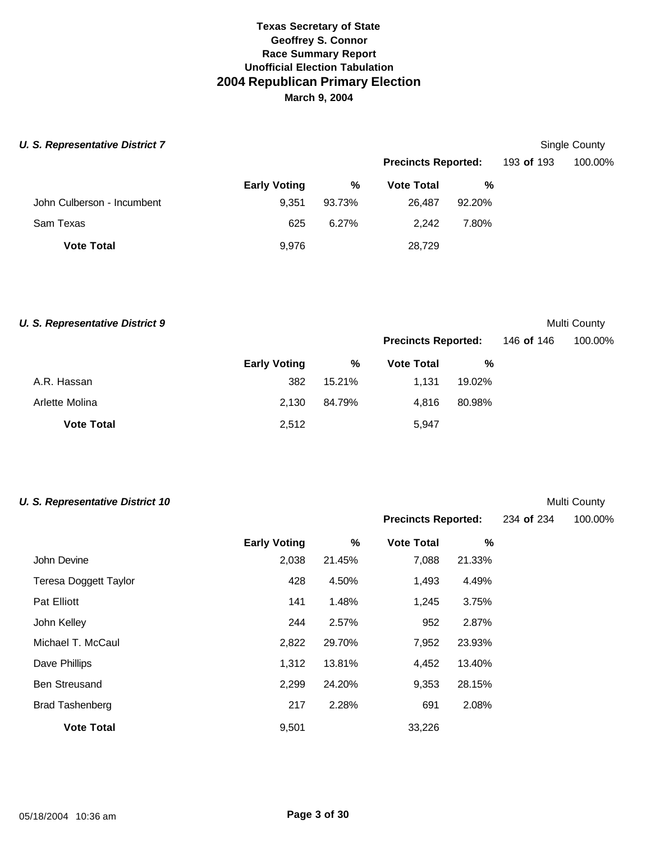| <b>U. S. Representative District 7</b> |                     |        |                            |        |            | Single County |
|----------------------------------------|---------------------|--------|----------------------------|--------|------------|---------------|
|                                        |                     |        | <b>Precincts Reported:</b> |        | 193 of 193 | 100.00%       |
|                                        | <b>Early Voting</b> | %      | <b>Vote Total</b>          | %      |            |               |
| John Culberson - Incumbent             | 9.351               | 93.73% | 26.487                     | 92.20% |            |               |
| Sam Texas                              | 625                 | 6.27%  | 2.242                      | 7.80%  |            |               |
| <b>Vote Total</b>                      | 9,976               |        | 28,729                     |        |            |               |

**U. S. Representative District 9** Multi County

**Precincts Reported:** 234 **of** 234 100.00%

|                   |                     |        | <b>Precincts Reported:</b> |        | 146 of 146 | 100.00% |
|-------------------|---------------------|--------|----------------------------|--------|------------|---------|
|                   | <b>Early Voting</b> | %      | <b>Vote Total</b>          | %      |            |         |
| A.R. Hassan       | 382                 | 15.21% | 1.131                      | 19.02% |            |         |
| Arlette Molina    | 2.130               | 84.79% | 4.816                      | 80.98% |            |         |
| <b>Vote Total</b> | 2,512               |        | 5,947                      |        |            |         |

## **U. S. Representative District 10** Multi County

|                              | <b>Early Voting</b> | %      | <b>Vote Total</b> | %      |  |
|------------------------------|---------------------|--------|-------------------|--------|--|
| John Devine                  | 2,038               | 21.45% | 7,088             | 21.33% |  |
| <b>Teresa Doggett Taylor</b> | 428                 | 4.50%  | 1,493             | 4.49%  |  |
| <b>Pat Elliott</b>           | 141                 | 1.48%  | 1,245             | 3.75%  |  |
| John Kelley                  | 244                 | 2.57%  | 952               | 2.87%  |  |
| Michael T. McCaul            | 2,822               | 29.70% | 7,952             | 23.93% |  |
| Dave Phillips                | 1.312               | 13.81% | 4,452             | 13.40% |  |
| <b>Ben Streusand</b>         | 2,299               | 24.20% | 9,353             | 28.15% |  |
| <b>Brad Tashenberg</b>       | 217                 | 2.28%  | 691               | 2.08%  |  |
| <b>Vote Total</b>            | 9,501               |        | 33,226            |        |  |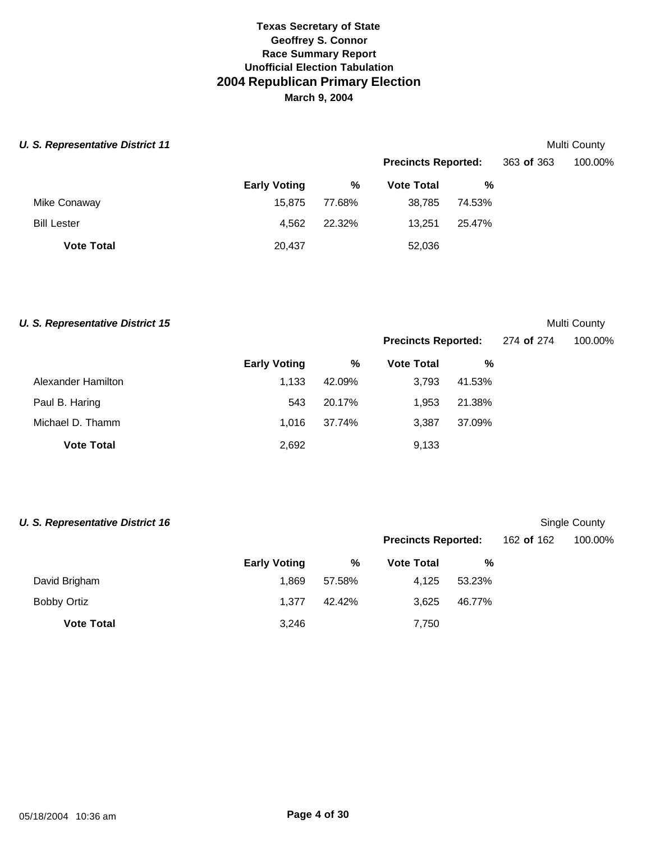## **U. S. Representative District 11** Multi County

|                    |                     |        |                   | <b>Precincts Reported:</b> |  | 100.00% |
|--------------------|---------------------|--------|-------------------|----------------------------|--|---------|
|                    | <b>Early Voting</b> | %      | <b>Vote Total</b> | %                          |  |         |
| Mike Conaway       | 15.875              | 77.68% | 38.785            | 74.53%                     |  |         |
| <b>Bill Lester</b> | 4.562               | 22.32% | 13.251            | 25.47%                     |  |         |
| <b>Vote Total</b>  | 20,437              |        | 52,036            |                            |  |         |

## **U. S. Representative District 15** Multi County

**Precincts Reported:** 274 **of** 274 100.00%

|                    | <b>Early Voting</b> | %      | <b>Vote Total</b> | %      |
|--------------------|---------------------|--------|-------------------|--------|
| Alexander Hamilton | 1.133               | 42.09% | 3.793             | 41.53% |
| Paul B. Haring     | 543                 | 20.17% | 1.953             | 21.38% |
| Michael D. Thamm   | 1.016               | 37.74% | 3.387             | 37.09% |
| <b>Vote Total</b>  | 2,692               |        | 9,133             |        |

| <b>U. S. Representative District 16</b> |                     |        |                            |        |            | Single County |
|-----------------------------------------|---------------------|--------|----------------------------|--------|------------|---------------|
|                                         |                     |        | <b>Precincts Reported:</b> |        | 162 of 162 | 100.00%       |
|                                         | <b>Early Voting</b> | %      | <b>Vote Total</b>          | %      |            |               |
| David Brigham                           | 1,869               | 57.58% | 4,125                      | 53.23% |            |               |
| <b>Bobby Ortiz</b>                      | 1.377               | 42.42% | 3,625                      | 46.77% |            |               |
| <b>Vote Total</b>                       | 3,246               |        | 7,750                      |        |            |               |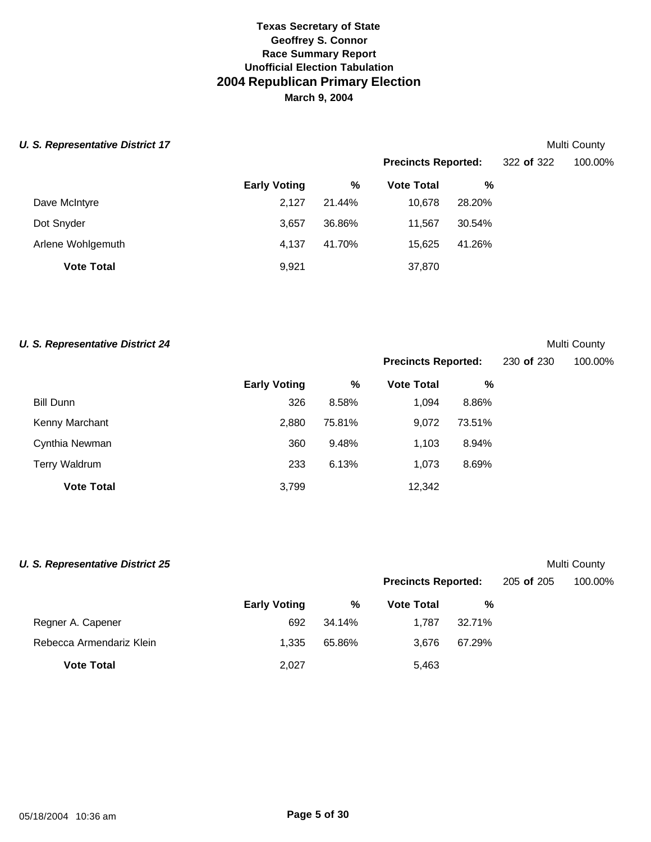## **U. S. Representative District 17** Multi County

|                   |                     |        | <b>Precincts Reported:</b> |        | 322 of 322 | 100.00% |
|-------------------|---------------------|--------|----------------------------|--------|------------|---------|
|                   | <b>Early Voting</b> | %      | <b>Vote Total</b>          | %      |            |         |
| Dave McIntyre     | 2.127               | 21.44% | 10.678                     | 28.20% |            |         |
| Dot Snyder        | 3,657               | 36.86% | 11.567                     | 30.54% |            |         |
| Arlene Wohlgemuth | 4.137               | 41.70% | 15.625                     | 41.26% |            |         |
| <b>Vote Total</b> | 9,921               |        | 37,870                     |        |            |         |

## **U. S. Representative District 24** Multi County

|                   |                     | <b>Precincts Reported:</b> |                   |        | 230 of 230 | 100.00% |
|-------------------|---------------------|----------------------------|-------------------|--------|------------|---------|
|                   | <b>Early Voting</b> | %                          | <b>Vote Total</b> | %      |            |         |
| <b>Bill Dunn</b>  | 326                 | 8.58%                      | 1.094             | 8.86%  |            |         |
| Kenny Marchant    | 2,880               | 75.81%                     | 9.072             | 73.51% |            |         |
| Cynthia Newman    | 360                 | 9.48%                      | 1.103             | 8.94%  |            |         |
| Terry Waldrum     | 233                 | 6.13%                      | 1,073             | 8.69%  |            |         |
| <b>Vote Total</b> | 3,799               |                            | 12,342            |        |            |         |

| <b>U. S. Representative District 25</b> |                     |        |                            |        |            | Multi County |
|-----------------------------------------|---------------------|--------|----------------------------|--------|------------|--------------|
|                                         |                     |        | <b>Precincts Reported:</b> |        | 205 of 205 | 100.00%      |
|                                         | <b>Early Voting</b> | %      | <b>Vote Total</b>          | %      |            |              |
| Regner A. Capener                       | 692                 | 34.14% | 1.787                      | 32.71% |            |              |
| Rebecca Armendariz Klein                | 1.335               | 65.86% | 3.676                      | 67.29% |            |              |
| <b>Vote Total</b>                       | 2,027               |        | 5,463                      |        |            |              |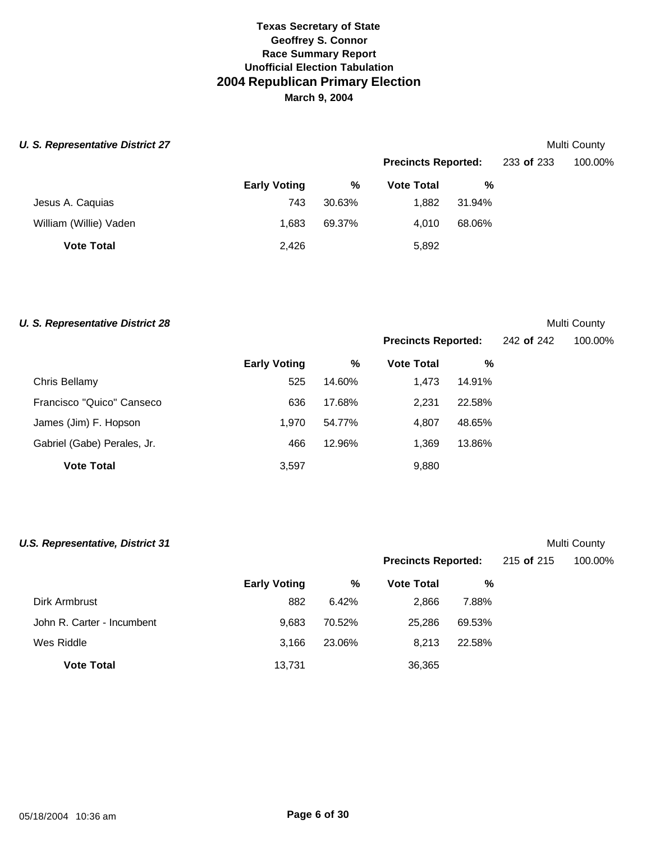## **U. S. Representative District 27** Multi County

|                        |                     |        | <b>Precincts Reported:</b> |        | 233 of 233 | 100.00% |
|------------------------|---------------------|--------|----------------------------|--------|------------|---------|
|                        | <b>Early Voting</b> | %      | <b>Vote Total</b>          | %      |            |         |
| Jesus A. Caquias       | 743                 | 30.63% | 1,882                      | 31.94% |            |         |
| William (Willie) Vaden | 1.683               | 69.37% | 4.010                      | 68.06% |            |         |
| <b>Vote Total</b>      | 2,426               |        | 5,892                      |        |            |         |

## **U. S. Representative District 28**

|  |  | Multi County |
|--|--|--------------|
|  |  |              |

**Precincts Reported:** 242 **of** 242 100.00%

|                             | <b>Early Voting</b> | %      | <b>Vote Total</b> | %      |
|-----------------------------|---------------------|--------|-------------------|--------|
| Chris Bellamy               | 525                 | 14.60% | 1.473             | 14.91% |
| Francisco "Quico" Canseco   | 636                 | 17.68% | 2.231             | 22.58% |
| James (Jim) F. Hopson       | 1.970               | 54.77% | 4.807             | 48.65% |
| Gabriel (Gabe) Perales, Jr. | 466                 | 12.96% | 1.369             | 13.86% |
| <b>Vote Total</b>           | 3,597               |        | 9,880             |        |

| <b>U.S. Representative, District 31</b> |                     |        |                            |        |            | Multi County |
|-----------------------------------------|---------------------|--------|----------------------------|--------|------------|--------------|
|                                         |                     |        | <b>Precincts Reported:</b> |        | 215 of 215 | 100.00%      |
|                                         | <b>Early Voting</b> | %      | <b>Vote Total</b>          | %      |            |              |
| Dirk Armbrust                           | 882                 | 6.42%  | 2,866                      | 7.88%  |            |              |
| John R. Carter - Incumbent              | 9.683               | 70.52% | 25,286                     | 69.53% |            |              |
| Wes Riddle                              | 3.166               | 23.06% | 8,213                      | 22.58% |            |              |
| <b>Vote Total</b>                       | 13,731              |        | 36,365                     |        |            |              |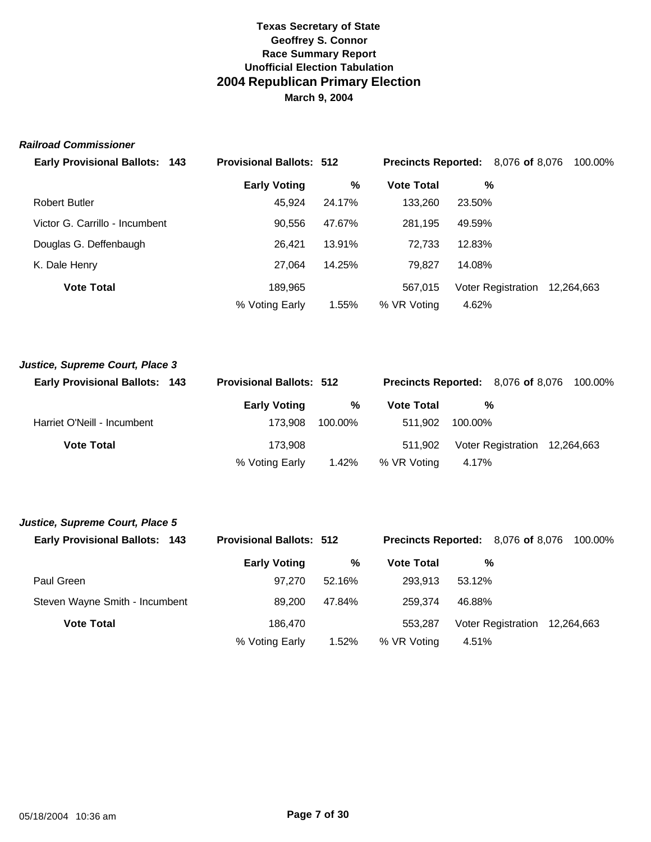## *Railroad Commissioner*

| <b>Early Provisional Ballots: 143</b> | <b>Provisional Ballots: 512</b> |        | <b>Precincts Reported:</b> 8,076 of 8,076 |        |                           | 100.00%    |
|---------------------------------------|---------------------------------|--------|-------------------------------------------|--------|---------------------------|------------|
|                                       | <b>Early Voting</b>             | ℅      | <b>Vote Total</b>                         |        | %                         |            |
| <b>Robert Butler</b>                  | 45,924                          | 24.17% | 133,260                                   | 23.50% |                           |            |
| Victor G. Carrillo - Incumbent        | 90.556                          | 47.67% | 281.195                                   | 49.59% |                           |            |
| Douglas G. Deffenbaugh                | 26.421                          | 13.91% | 72.733                                    | 12.83% |                           |            |
| K. Dale Henry                         | 27.064                          | 14.25% | 79.827                                    | 14.08% |                           |            |
| <b>Vote Total</b>                     | 189,965                         |        | 567,015                                   |        | <b>Voter Registration</b> | 12.264.663 |
|                                       | % Voting Early                  | 1.55%  | % VR Voting                               | 4.62%  |                           |            |

| Justice, Supreme Court, Place 3       |                                 |         |                   |         |                                           |  |  |
|---------------------------------------|---------------------------------|---------|-------------------|---------|-------------------------------------------|--|--|
| <b>Early Provisional Ballots: 143</b> | <b>Provisional Ballots: 512</b> |         |                   |         | <b>Precincts Reported:</b> 8,076 of 8,076 |  |  |
|                                       | <b>Early Voting</b>             | %       | <b>Vote Total</b> |         | %                                         |  |  |
| Harriet O'Neill - Incumbent           | 173.908                         | 100.00% | 511.902           | 100.00% |                                           |  |  |
| <b>Vote Total</b>                     | 173.908                         |         | 511.902           |         | Voter Registration 12,264,663             |  |  |
|                                       | % Voting Early                  | 1.42%   | % VR Voting       | 4.17%   |                                           |  |  |

| Justice, Supreme Court, Place 5       |                                 |        |                                    |        |                    |            |
|---------------------------------------|---------------------------------|--------|------------------------------------|--------|--------------------|------------|
| <b>Early Provisional Ballots: 143</b> | <b>Provisional Ballots: 512</b> |        | Precincts Reported: 8,076 of 8,076 |        |                    | 100.00%    |
|                                       | <b>Early Voting</b>             | %      | <b>Vote Total</b>                  |        | %                  |            |
| Paul Green                            | 97.270                          | 52.16% | 293.913                            | 53.12% |                    |            |
| Steven Wayne Smith - Incumbent        | 89,200                          | 47.84% | 259.374                            | 46.88% |                    |            |
| <b>Vote Total</b>                     | 186.470                         |        | 553.287                            |        | Voter Registration | 12.264.663 |
|                                       | % Voting Early                  | 1.52%  | % VR Voting                        | 4.51%  |                    |            |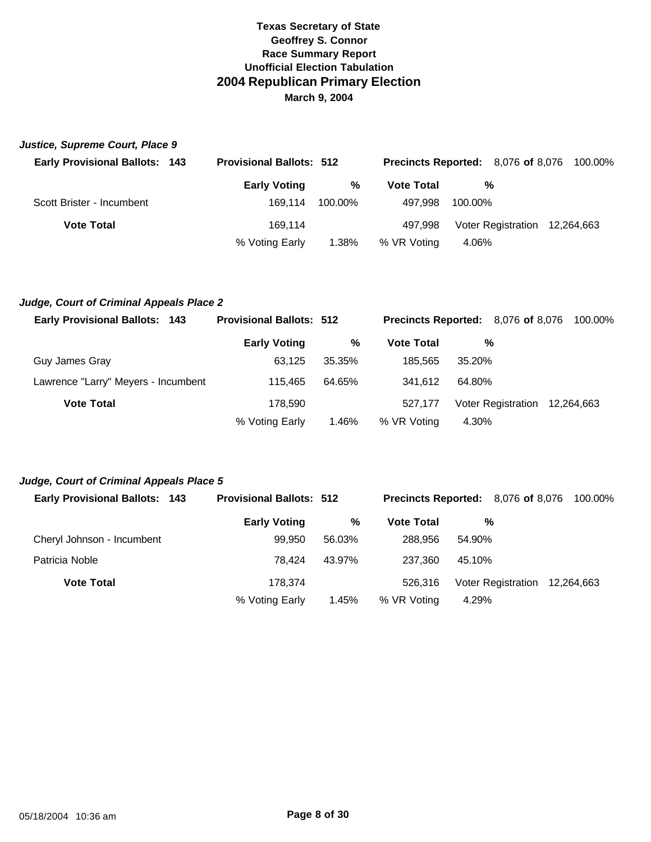| Justice, Supreme Court, Place 9       |                                 |         |                                           |         |                               |         |
|---------------------------------------|---------------------------------|---------|-------------------------------------------|---------|-------------------------------|---------|
| <b>Early Provisional Ballots: 143</b> | <b>Provisional Ballots: 512</b> |         | <b>Precincts Reported:</b> 8,076 of 8,076 |         |                               | 100.00% |
|                                       | <b>Early Voting</b>             | %       | <b>Vote Total</b>                         | %       |                               |         |
| Scott Brister - Incumbent             | 169.114                         | 100.00% | 497.998                                   | 100.00% |                               |         |
| <b>Vote Total</b>                     | 169.114                         |         | 497.998                                   |         | Voter Registration 12,264,663 |         |
|                                       | % Voting Early                  | 1.38%   | % VR Voting                               | 4.06%   |                               |         |

## *Judge, Court of Criminal Appeals Place 2*

| <b>Early Provisional Ballots: 143</b> | <b>Provisional Ballots: 512</b> |        | <b>Precincts Reported:</b> 8,076 of 8,076 |        |                               | 100.00% |
|---------------------------------------|---------------------------------|--------|-------------------------------------------|--------|-------------------------------|---------|
|                                       | <b>Early Voting</b>             | %      | <b>Vote Total</b>                         | %      |                               |         |
| Guy James Gray                        | 63.125                          | 35.35% | 185.565                                   | 35.20% |                               |         |
| Lawrence "Larry" Meyers - Incumbent   | 115.465                         | 64.65% | 341.612                                   | 64.80% |                               |         |
| <b>Vote Total</b>                     | 178.590                         |        | 527.177                                   |        | Voter Registration 12,264,663 |         |
|                                       | % Voting Early                  | 1.46%  | % VR Voting                               | 4.30%  |                               |         |

## *Judge, Court of Criminal Appeals Place 5*

| <b>Early Provisional Ballots: 143</b> | <b>Provisional Ballots: 512</b> |        |                   | <b>Precincts Reported:</b> 8,076 of 8,076 100.00% |
|---------------------------------------|---------------------------------|--------|-------------------|---------------------------------------------------|
|                                       | <b>Early Voting</b>             | %      | <b>Vote Total</b> | %                                                 |
| Cheryl Johnson - Incumbent            | 99.950                          | 56.03% | 288,956           | 54.90%                                            |
| Patricia Noble                        | 78.424                          | 43.97% | 237.360           | 45.10%                                            |
| <b>Vote Total</b>                     | 178.374                         |        | 526.316           | Voter Registration 12,264,663                     |
|                                       | % Voting Early                  | 1.45%  | % VR Voting       | 4.29%                                             |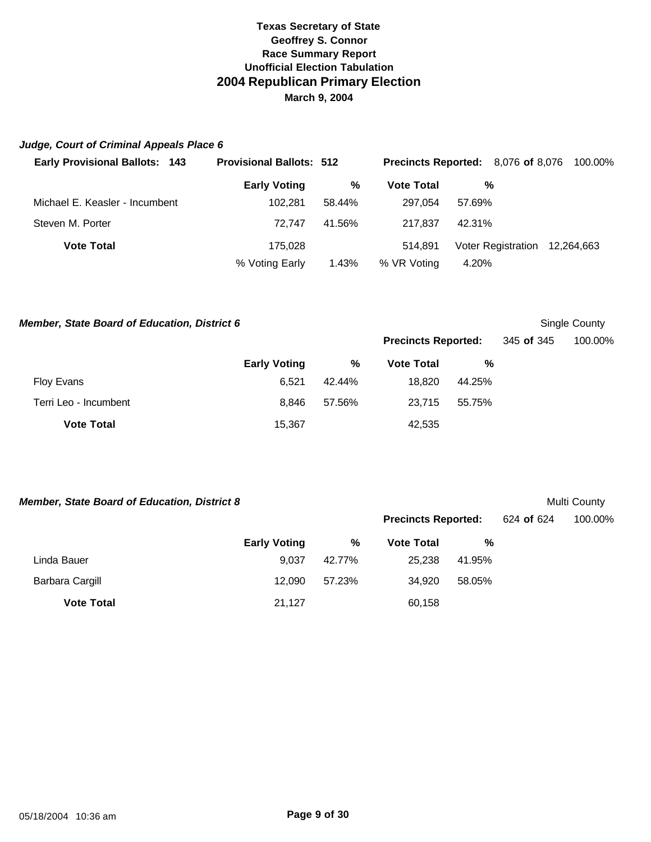## *Judge, Court of Criminal Appeals Place 6*

| <b>Early Provisional Ballots: 143</b> | <b>Provisional Ballots: 512</b> |        |                   | <b>Precincts Reported:</b> 8,076 of 8,076 | 100.00% |
|---------------------------------------|---------------------------------|--------|-------------------|-------------------------------------------|---------|
|                                       | <b>Early Voting</b>             | %      | <b>Vote Total</b> | %                                         |         |
| Michael E. Keasler - Incumbent        | 102.281                         | 58.44% | 297.054           | 57.69%                                    |         |
| Steven M. Porter                      | 72.747                          | 41.56% | 217.837           | 42.31%                                    |         |
| <b>Vote Total</b>                     | 175.028                         |        | 514.891           | Voter Registration 12,264,663             |         |
|                                       | % Voting Early                  | 1.43%  | % VR Voting       | 4.20%                                     |         |

*Member, State Board of Education, District 6* Single County

|                       |                     |        | <b>Precincts Reported:</b> |        | 345 <b>of</b> 345 | 100.00% |
|-----------------------|---------------------|--------|----------------------------|--------|-------------------|---------|
|                       | <b>Early Voting</b> | %      | <b>Vote Total</b>          | %      |                   |         |
| Floy Evans            | 6.521               | 42.44% | 18.820                     | 44.25% |                   |         |
| Terri Leo - Incumbent | 8.846               | 57.56% | 23.715                     | 55.75% |                   |         |
| <b>Vote Total</b>     | 15,367              |        | 42,535                     |        |                   |         |

**Member, State Board of Education, District 8** Multi County

**Precincts Reported:** 624 **of** 624 100.00%

|                   | <b>Early Voting</b> | %      | <b>Vote Total</b> | %      |
|-------------------|---------------------|--------|-------------------|--------|
| Linda Bauer       | 9.037               | 42.77% | 25.238            | 41.95% |
| Barbara Cargill   | 12.090              | 57.23% | 34.920            | 58.05% |
| <b>Vote Total</b> | 21.127              |        | 60,158            |        |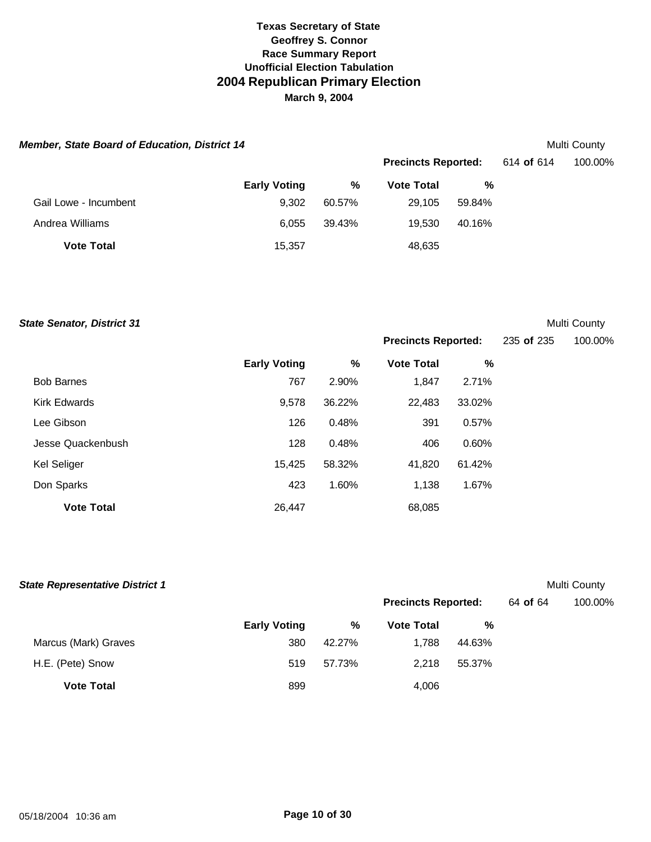| <b>Member, State Board of Education, District 14</b> |                     |        |                            |        |            | Multi County |
|------------------------------------------------------|---------------------|--------|----------------------------|--------|------------|--------------|
|                                                      |                     |        | <b>Precincts Reported:</b> |        | 614 of 614 | 100.00%      |
|                                                      | <b>Early Voting</b> | %      | <b>Vote Total</b>          | %      |            |              |
| Gail Lowe - Incumbent                                | 9.302               | 60.57% | 29.105                     | 59.84% |            |              |
| Andrea Williams                                      | 6.055               | 39.43% | 19.530                     | 40.16% |            |              |
| <b>Vote Total</b>                                    | 15,357              |        | 48,635                     |        |            |              |

**State Senator, District 31** Multi County

**Precincts Reported:** 235 **of** 235 100.00%

|                     | <b>Early Voting</b> | %      | <b>Vote Total</b> | %      |
|---------------------|---------------------|--------|-------------------|--------|
| <b>Bob Barnes</b>   | 767                 | 2.90%  | 1,847             | 2.71%  |
| <b>Kirk Edwards</b> | 9,578               | 36.22% | 22,483            | 33.02% |
| Lee Gibson          | 126                 | 0.48%  | 391               | 0.57%  |
| Jesse Quackenbush   | 128                 | 0.48%  | 406               | 0.60%  |
| Kel Seliger         | 15,425              | 58.32% | 41,820            | 61.42% |
| Don Sparks          | 423                 | 1.60%  | 1,138             | 1.67%  |
| <b>Vote Total</b>   | 26,447              |        | 68,085            |        |

| <b>State Representative District 1</b> |                     |        |                            |        |          | Multi County |
|----------------------------------------|---------------------|--------|----------------------------|--------|----------|--------------|
|                                        |                     |        | <b>Precincts Reported:</b> |        | 64 of 64 | 100.00%      |
|                                        | <b>Early Voting</b> | %      | <b>Vote Total</b>          | %      |          |              |
| Marcus (Mark) Graves                   | 380                 | 42.27% | 1.788                      | 44.63% |          |              |
| H.E. (Pete) Snow                       | 519                 | 57.73% | 2.218                      | 55.37% |          |              |
| <b>Vote Total</b>                      | 899                 |        | 4,006                      |        |          |              |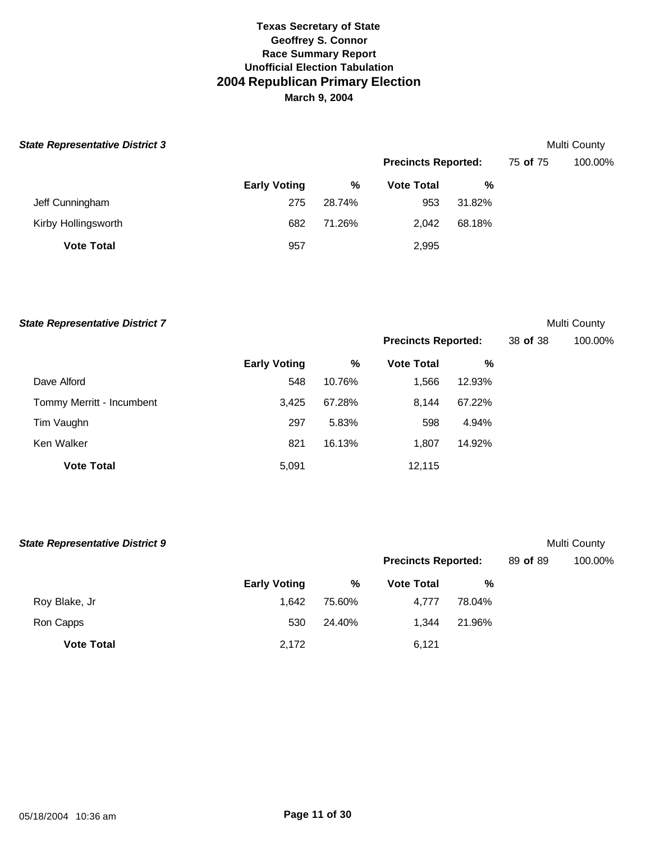| <b>State Representative District 3</b> |                     |        |                            |        |          | Multi County |
|----------------------------------------|---------------------|--------|----------------------------|--------|----------|--------------|
|                                        |                     |        | <b>Precincts Reported:</b> |        | 75 of 75 | 100.00%      |
|                                        | <b>Early Voting</b> | %      | <b>Vote Total</b>          | %      |          |              |
| Jeff Cunningham                        | 275                 | 28.74% | 953                        | 31.82% |          |              |
| Kirby Hollingsworth                    | 682                 | 71.26% | 2,042                      | 68.18% |          |              |
| <b>Vote Total</b>                      | 957                 |        | 2,995                      |        |          |              |

| <b>State Representative District 7</b> |                     |        |                            |        |          | Multi County |
|----------------------------------------|---------------------|--------|----------------------------|--------|----------|--------------|
|                                        |                     |        | <b>Precincts Reported:</b> |        | 38 of 38 | 100.00%      |
|                                        | <b>Early Voting</b> | %      | <b>Vote Total</b>          | %      |          |              |
| Dave Alford                            | 548                 | 10.76% | 1,566                      | 12.93% |          |              |
| Tommy Merritt - Incumbent              | 3,425               | 67.28% | 8,144                      | 67.22% |          |              |
| Tim Vaughn                             | 297                 | 5.83%  | 598                        | 4.94%  |          |              |
| Ken Walker                             | 821                 | 16.13% | 1,807                      | 14.92% |          |              |
| <b>Vote Total</b>                      | 5,091               |        | 12,115                     |        |          |              |

| <b>State Representative District 9</b> |                     |        |                            |        |          | Multi County |
|----------------------------------------|---------------------|--------|----------------------------|--------|----------|--------------|
|                                        |                     |        | <b>Precincts Reported:</b> |        | 89 of 89 | 100.00%      |
|                                        | <b>Early Voting</b> | %      | <b>Vote Total</b>          | %      |          |              |
| Roy Blake, Jr                          | 1.642               | 75.60% | 4.777                      | 78.04% |          |              |
| Ron Capps                              | 530                 | 24.40% | 1.344                      | 21.96% |          |              |
| <b>Vote Total</b>                      | 2,172               |        | 6,121                      |        |          |              |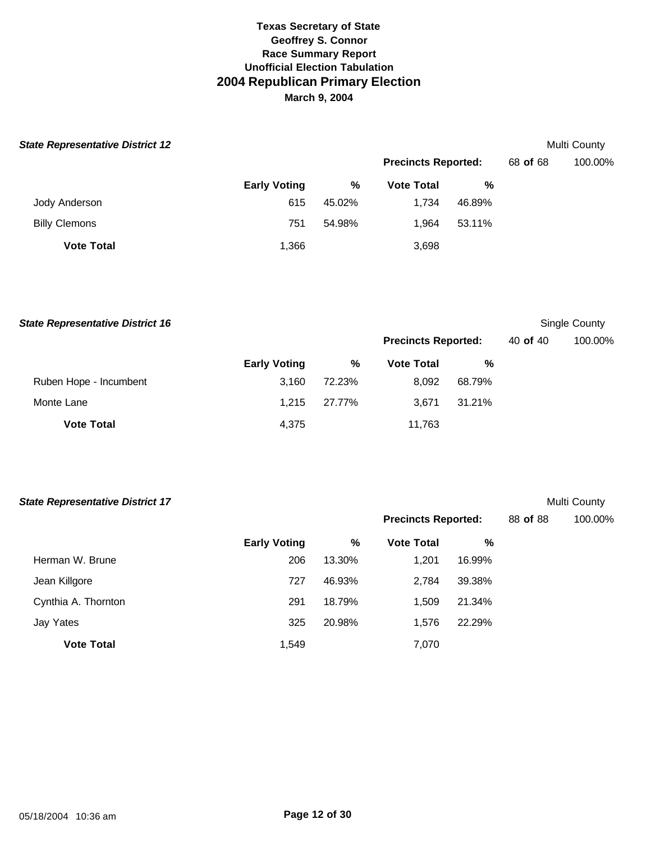| <b>State Representative District 12</b> |                     |        |                            |        |          | <b>Multi County</b> |
|-----------------------------------------|---------------------|--------|----------------------------|--------|----------|---------------------|
|                                         |                     |        | <b>Precincts Reported:</b> |        | 68 of 68 | 100.00%             |
|                                         | <b>Early Voting</b> | %      | <b>Vote Total</b>          | %      |          |                     |
| Jody Anderson                           | 615                 | 45.02% | 1.734                      | 46.89% |          |                     |
| <b>Billy Clemons</b>                    | 751                 | 54.98% | 1.964                      | 53.11% |          |                     |
| <b>Vote Total</b>                       | 1,366               |        | 3,698                      |        |          |                     |

| <b>State Representative District 16</b> |                     |        |                            |        |          | Single County |
|-----------------------------------------|---------------------|--------|----------------------------|--------|----------|---------------|
|                                         |                     |        | <b>Precincts Reported:</b> |        | 40 of 40 | 100.00%       |
|                                         | <b>Early Voting</b> | %      | <b>Vote Total</b>          | %      |          |               |
| Ruben Hope - Incumbent                  | 3.160               | 72.23% | 8.092                      | 68.79% |          |               |
| Monte Lane                              | 1.215               | 27.77% | 3.671                      | 31.21% |          |               |
| <b>Vote Total</b>                       | 4,375               |        | 11,763                     |        |          |               |

| <b>State Representative District 17</b> |                     |        |                            |        |          | Multi County |
|-----------------------------------------|---------------------|--------|----------------------------|--------|----------|--------------|
|                                         |                     |        | <b>Precincts Reported:</b> |        | 88 of 88 | 100.00%      |
|                                         | <b>Early Voting</b> | %      | <b>Vote Total</b>          | %      |          |              |
| Herman W. Brune                         | 206                 | 13.30% | 1,201                      | 16.99% |          |              |
| Jean Killgore                           | 727                 | 46.93% | 2,784                      | 39.38% |          |              |
| Cynthia A. Thornton                     | 291                 | 18.79% | 1,509                      | 21.34% |          |              |
| Jay Yates                               | 325                 | 20.98% | 1,576                      | 22.29% |          |              |
| <b>Vote Total</b>                       | 1,549               |        | 7,070                      |        |          |              |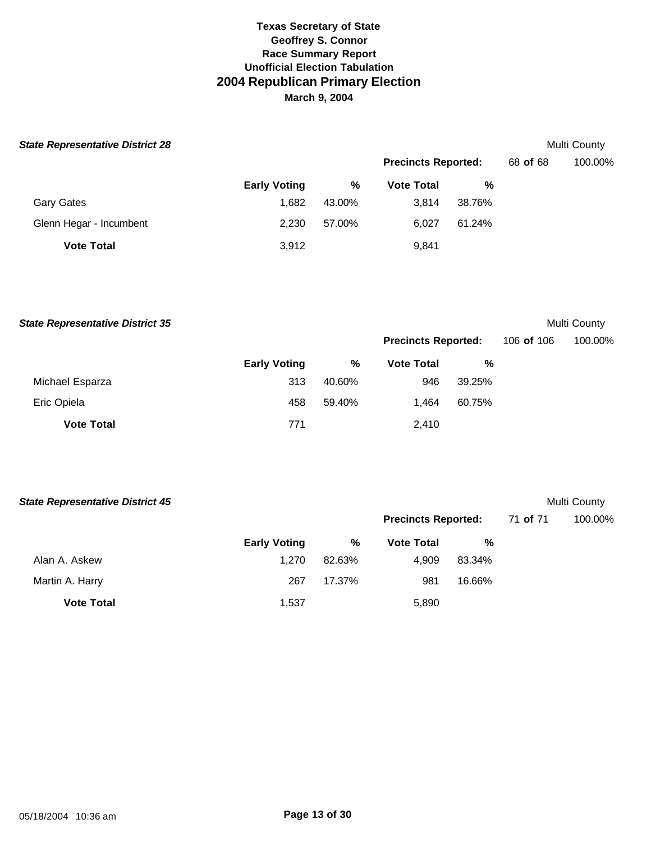| <b>State Representative District 28</b> |                     |        |                            |        |          | Multi County |  |
|-----------------------------------------|---------------------|--------|----------------------------|--------|----------|--------------|--|
|                                         |                     |        | <b>Precincts Reported:</b> |        | 68 of 68 | 100.00%      |  |
|                                         | <b>Early Voting</b> | %      | <b>Vote Total</b>          | %      |          |              |  |
| <b>Gary Gates</b>                       | 1.682               | 43.00% | 3.814                      | 38.76% |          |              |  |
| Glenn Hegar - Incumbent                 | 2.230               | 57.00% | 6,027                      | 61.24% |          |              |  |
| <b>Vote Total</b>                       | 3,912               |        | 9,841                      |        |          |              |  |

**State Representative District 35** Multi County

**Precincts Reported:** 106 **of** 106 100.00%

|                   | <b>Early Voting</b> | %      | <b>Vote Total</b> | ℅      |  |  |
|-------------------|---------------------|--------|-------------------|--------|--|--|
| Michael Esparza   | 313                 | 40.60% | 946               | 39.25% |  |  |
| Eric Opiela       | 458                 | 59.40% | 1.464             | 60.75% |  |  |
| <b>Vote Total</b> | 771                 |        | 2,410             |        |  |  |

| <b>State Representative District 45</b> |                     |        |                            |        |          | Multi County |
|-----------------------------------------|---------------------|--------|----------------------------|--------|----------|--------------|
|                                         |                     |        | <b>Precincts Reported:</b> |        | 71 of 71 | 100.00%      |
|                                         | <b>Early Voting</b> | %      | <b>Vote Total</b>          | %      |          |              |
| Alan A. Askew                           | 1.270               | 82.63% | 4,909                      | 83.34% |          |              |
| Martin A. Harry                         | 267                 | 17.37% | 981                        | 16.66% |          |              |
| <b>Vote Total</b>                       | 1,537               |        | 5,890                      |        |          |              |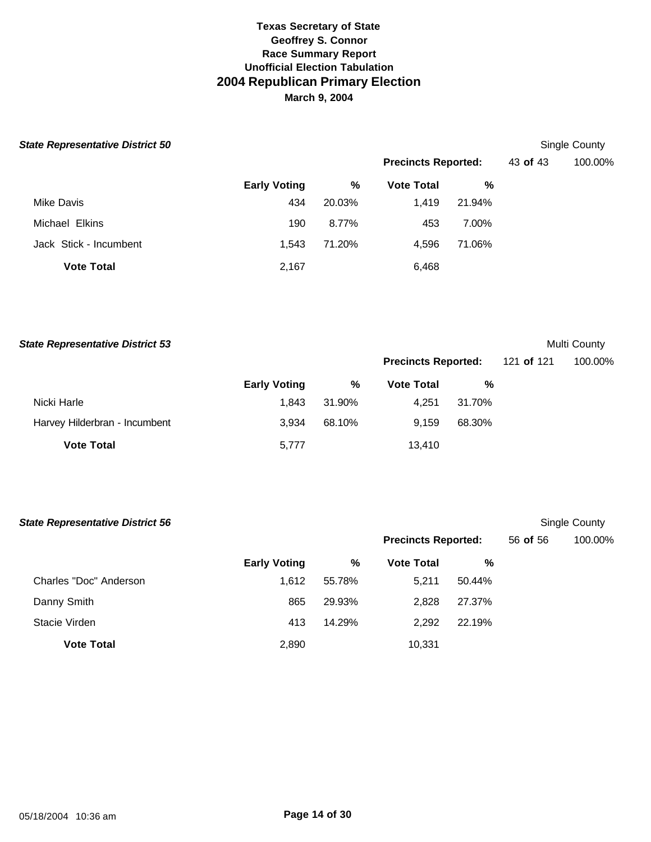| <b>State Representative District 50</b> |                     |        |                            |        |          | Single County |  |
|-----------------------------------------|---------------------|--------|----------------------------|--------|----------|---------------|--|
|                                         |                     |        | <b>Precincts Reported:</b> |        | 43 of 43 | 100.00%       |  |
|                                         | <b>Early Voting</b> | %      | <b>Vote Total</b>          | %      |          |               |  |
| Mike Davis                              | 434                 | 20.03% | 1,419                      | 21.94% |          |               |  |
| Michael Elkins                          | 190                 | 8.77%  | 453                        | 7.00%  |          |               |  |
| Jack Stick - Incumbent                  | 1.543               | 71.20% | 4,596                      | 71.06% |          |               |  |
| <b>Vote Total</b>                       | 2,167               |        | 6,468                      |        |          |               |  |

| <b>State Representative District 53</b> |                     |        |                            |        |            | Multi County |
|-----------------------------------------|---------------------|--------|----------------------------|--------|------------|--------------|
|                                         |                     |        | <b>Precincts Reported:</b> |        | 121 of 121 | 100.00%      |
|                                         | <b>Early Voting</b> | %      | <b>Vote Total</b>          | %      |            |              |
| Nicki Harle                             | 1,843               | 31.90% | 4.251                      | 31.70% |            |              |
| Harvey Hilderbran - Incumbent           | 3.934               | 68.10% | 9.159                      | 68.30% |            |              |
| <b>Vote Total</b>                       | 5,777               |        | 13.410                     |        |            |              |

| <b>State Representative District 56</b> |                     |        |                            |        |          | Single County |
|-----------------------------------------|---------------------|--------|----------------------------|--------|----------|---------------|
|                                         |                     |        | <b>Precincts Reported:</b> |        | 56 of 56 | 100.00%       |
|                                         | <b>Early Voting</b> | %      | <b>Vote Total</b>          | %      |          |               |
| Charles "Doc" Anderson                  | 1,612               | 55.78% | 5.211                      | 50.44% |          |               |
| Danny Smith                             | 865                 | 29.93% | 2,828                      | 27.37% |          |               |
| Stacie Virden                           | 413                 | 14.29% | 2,292                      | 22.19% |          |               |
| <b>Vote Total</b>                       | 2,890               |        | 10,331                     |        |          |               |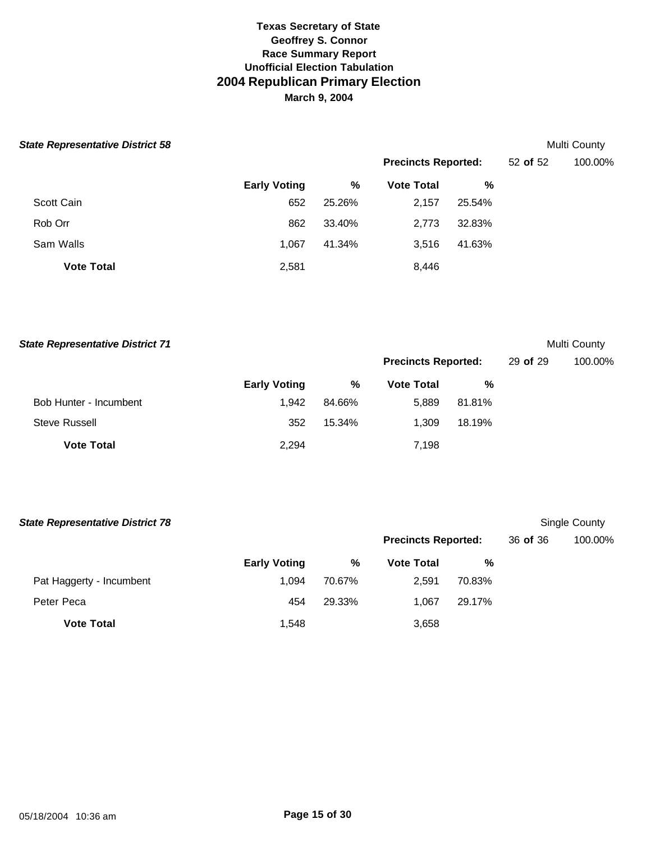| <b>State Representative District 58</b> |                     |        |                            |        |          | <b>Multi County</b> |  |
|-----------------------------------------|---------------------|--------|----------------------------|--------|----------|---------------------|--|
|                                         |                     |        | <b>Precincts Reported:</b> |        | 52 of 52 | 100.00%             |  |
|                                         | <b>Early Voting</b> | %      | <b>Vote Total</b>          | %      |          |                     |  |
| Scott Cain                              | 652                 | 25.26% | 2,157                      | 25.54% |          |                     |  |
| Rob Orr                                 | 862                 | 33.40% | 2,773                      | 32.83% |          |                     |  |
| Sam Walls                               | 1.067               | 41.34% | 3,516                      | 41.63% |          |                     |  |
| <b>Vote Total</b>                       | 2,581               |        | 8,446                      |        |          |                     |  |

| <b>State Representative District 71</b> |                     |        |                            |        |          | Multi County |
|-----------------------------------------|---------------------|--------|----------------------------|--------|----------|--------------|
|                                         |                     |        | <b>Precincts Reported:</b> |        | 29 of 29 | 100.00%      |
|                                         | <b>Early Voting</b> | %      | <b>Vote Total</b>          | %      |          |              |
| Bob Hunter - Incumbent                  | 1,942               | 84.66% | 5.889                      | 81.81% |          |              |
| Steve Russell                           | 352                 | 15.34% | 1.309                      | 18.19% |          |              |
| <b>Vote Total</b>                       | 2,294               |        | 7,198                      |        |          |              |

| <b>State Representative District 78</b> |                     |        |                            |        |          | Single County |
|-----------------------------------------|---------------------|--------|----------------------------|--------|----------|---------------|
|                                         |                     |        | <b>Precincts Reported:</b> |        | 36 of 36 | 100.00%       |
|                                         | <b>Early Voting</b> | %      | <b>Vote Total</b>          | %      |          |               |
| Pat Haggerty - Incumbent                | 1.094               | 70.67% | 2,591                      | 70.83% |          |               |
| Peter Peca                              | 454                 | 29.33% | 1.067                      | 29.17% |          |               |
| <b>Vote Total</b>                       | 1,548               |        | 3,658                      |        |          |               |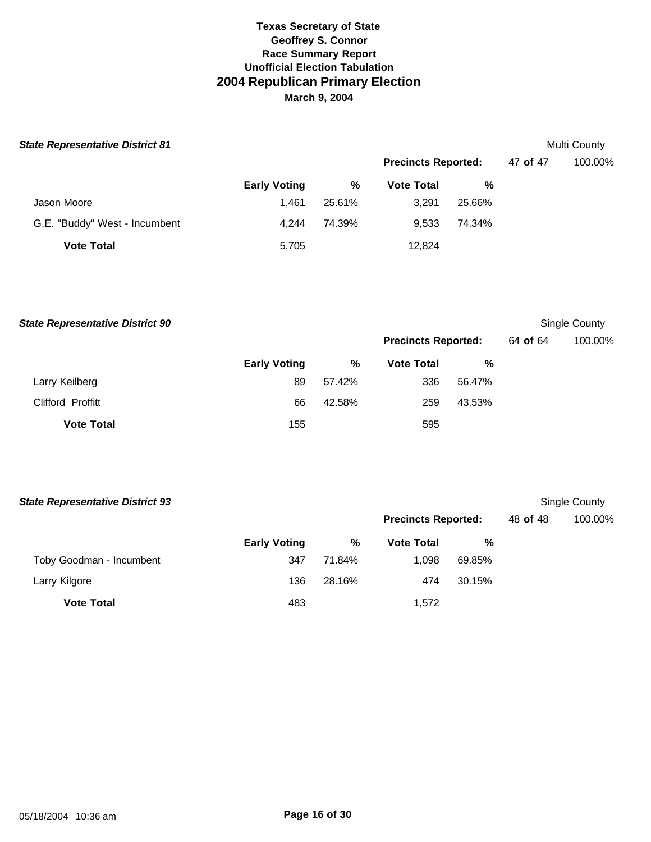| <b>State Representative District 81</b> |                     |        |                            |        |          | Multi County |
|-----------------------------------------|---------------------|--------|----------------------------|--------|----------|--------------|
|                                         |                     |        | <b>Precincts Reported:</b> |        | 47 of 47 | 100.00%      |
|                                         | <b>Early Voting</b> | %      | <b>Vote Total</b>          | %      |          |              |
| Jason Moore                             | 1.461               | 25.61% | 3,291                      | 25.66% |          |              |
| G.E. "Buddy" West - Incumbent           | 4.244               | 74.39% | 9,533                      | 74.34% |          |              |
| <b>Vote Total</b>                       | 5,705               |        | 12,824                     |        |          |              |

**Early Voting % Vote Total %** Larry Keilberg 89 57.42% 336 56.47% Clifford Proffitt 66 42.58% 259 43.53% **Vote Total** 155 595 **State Representative District 90** Single County **Precincts Reported:** 64 **of** 64 100.00%

| <b>State Representative District 93</b> |                     |        |                            |        |          | Single County |
|-----------------------------------------|---------------------|--------|----------------------------|--------|----------|---------------|
|                                         |                     |        | <b>Precincts Reported:</b> |        | 48 of 48 | 100.00%       |
|                                         | <b>Early Voting</b> | %      | <b>Vote Total</b>          | %      |          |               |
| Toby Goodman - Incumbent                | 347                 | 71.84% | 1.098                      | 69.85% |          |               |
| Larry Kilgore                           | 136                 | 28.16% | 474                        | 30.15% |          |               |
| <b>Vote Total</b>                       | 483                 |        | 1.572                      |        |          |               |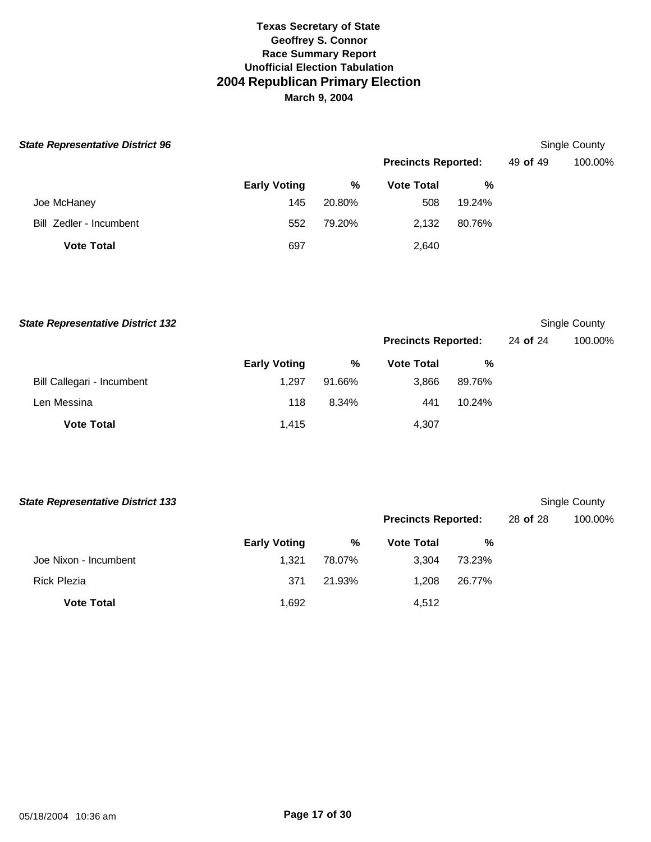| <b>State Representative District 96</b> |                     |        |                            |        |          | Single County |  |
|-----------------------------------------|---------------------|--------|----------------------------|--------|----------|---------------|--|
|                                         |                     |        | <b>Precincts Reported:</b> |        | 49 of 49 | 100.00%       |  |
|                                         | <b>Early Voting</b> | %      | <b>Vote Total</b>          | %      |          |               |  |
| Joe McHaney                             | 145                 | 20.80% | 508                        | 19.24% |          |               |  |
| Bill Zedler - Incumbent                 | 552                 | 79.20% | 2,132                      | 80.76% |          |               |  |
| <b>Vote Total</b>                       | 697                 |        | 2,640                      |        |          |               |  |

**Early Voting % Vote Total %** Bill Callegari - Incumbent 1,297 91.66% 3,866 89.76% Len Messina 118 8.34% 441 10.24% **Vote Total** 4,307 **State Representative District 132** Single County **Precincts Reported:** 24 **of** 24 100.00%

| <b>State Representative District 133</b> |                     |        |                            |        |          | Single County |
|------------------------------------------|---------------------|--------|----------------------------|--------|----------|---------------|
|                                          |                     |        | <b>Precincts Reported:</b> |        | 28 of 28 | 100.00%       |
|                                          | <b>Early Voting</b> | %      | <b>Vote Total</b>          | %      |          |               |
| Joe Nixon - Incumbent                    | 1.321               | 78.07% | 3.304                      | 73.23% |          |               |
| <b>Rick Plezia</b>                       | 371                 | 21.93% | 1.208                      | 26.77% |          |               |
| <b>Vote Total</b>                        | 1,692               |        | 4,512                      |        |          |               |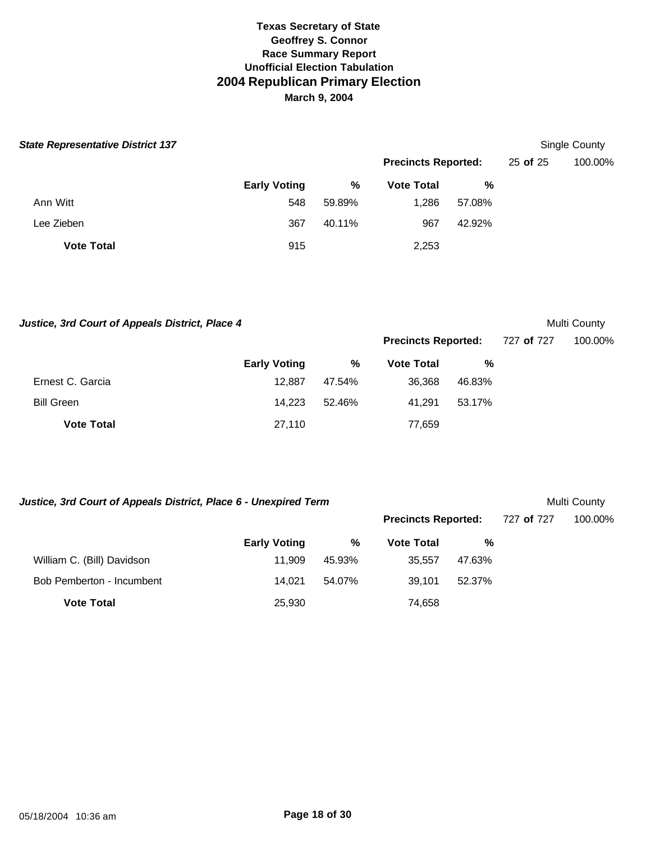| <b>State Representative District 137</b> |                     |        |                            |        |          | Single County |
|------------------------------------------|---------------------|--------|----------------------------|--------|----------|---------------|
|                                          |                     |        | <b>Precincts Reported:</b> |        | 25 of 25 | 100.00%       |
|                                          | <b>Early Voting</b> | %      | <b>Vote Total</b>          | %      |          |               |
| Ann Witt                                 | 548                 | 59.89% | 1,286                      | 57.08% |          |               |
| Lee Zieben                               | 367                 | 40.11% | 967                        | 42.92% |          |               |
| <b>Vote Total</b>                        | 915                 |        | 2,253                      |        |          |               |

Justice, 3rd Court of Appeals District, Place 4 and 2008 and 2009 and 2009 and 2009 and 2009 and 2009 and 2009 and 2009 and 2009 and 2009 and 2009 and 2009 and 2009 and 2009 and 2009 and 2009 and 2009 and 2009 and 2009 and

**Precincts Reported:** 727 **of** 727 100.00%

**Precincts Reported:** 727 **of** 727 100.00%

|                   | <b>Early Voting</b> | %      | <b>Vote Total</b> | %      |
|-------------------|---------------------|--------|-------------------|--------|
| Ernest C. Garcia  | 12.887              | 47.54% | 36,368            | 46.83% |
| <b>Bill Green</b> | 14.223              | 52.46% | 41.291            | 53.17% |
| <b>Vote Total</b> | 27,110              |        | 77,659            |        |

# Justice, 3rd Court of Appeals District, Place 6 - Unexpired Term **Multi County** Multi County

|                            | <b>Early Voting</b> | %      | <b>Vote Total</b> | %      |
|----------------------------|---------------------|--------|-------------------|--------|
| William C. (Bill) Davidson | 11.909              | 45.93% | 35.557            | 47.63% |
| Bob Pemberton - Incumbent  | 14.021              | 54.07% | 39.101            | 52.37% |
| <b>Vote Total</b>          | 25,930              |        | 74,658            |        |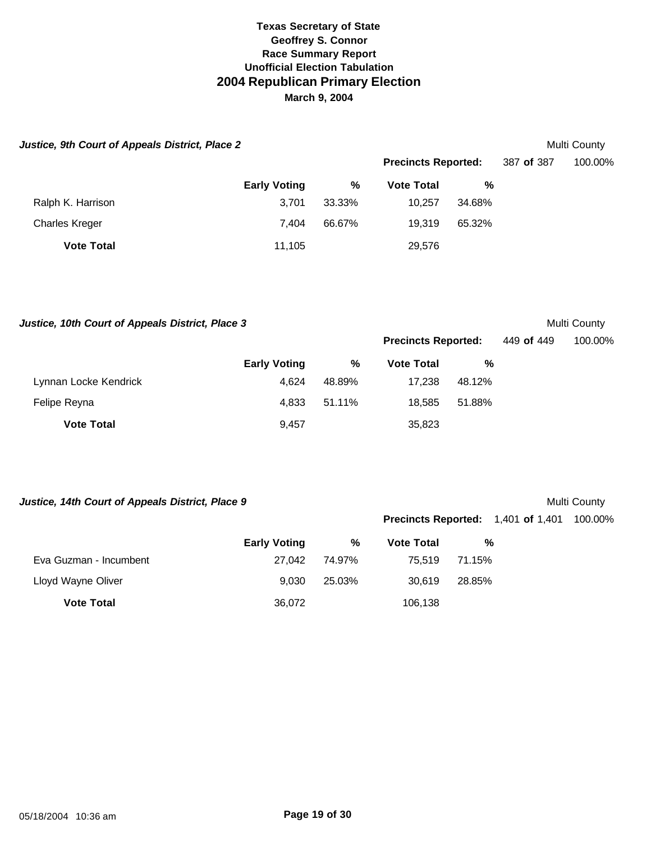| Justice, 9th Court of Appeals District, Place 2 |                     |        |                            |        |            | Multi County |
|-------------------------------------------------|---------------------|--------|----------------------------|--------|------------|--------------|
|                                                 |                     |        | <b>Precincts Reported:</b> |        | 387 of 387 | 100.00%      |
|                                                 | <b>Early Voting</b> | %      | <b>Vote Total</b>          | %      |            |              |
| Ralph K. Harrison                               | 3.701               | 33.33% | 10.257                     | 34.68% |            |              |
| <b>Charles Kreger</b>                           | 7.404               | 66.67% | 19.319                     | 65.32% |            |              |
| <b>Vote Total</b>                               | 11,105              |        | 29,576                     |        |            |              |

Justice, 10th Court of Appeals District, Place 3 and 2008 and 2009 and 2009 and 2009 and 2009 and 2009 and 2009 and 2009 and 2009 and 2009 and 2009 and 2009 and 2009 and 2009 and 2009 and 2009 and 2009 and 2009 and 2009 an

|                       | <b>Early Voting</b> | %      | <b>Vote Total</b> | %      |
|-----------------------|---------------------|--------|-------------------|--------|
| Lynnan Locke Kendrick | 4.624               | 48.89% | 17.238            | 48.12% |
| Felipe Reyna          | 4.833               | 51.11% | 18.585            | 51.88% |
| <b>Vote Total</b>     | 9.457               |        | 35,823            |        |

Justice, 14th Court of Appeals District, Place 9 and the set of the set of the Multi County

**Precincts Reported:** 1,401 **of** 1,401 100.00%

**Precincts Reported:** 449 **of** 449 100.00%

|                        | <b>Early Voting</b> | %      | <b>Vote Total</b> | %      |
|------------------------|---------------------|--------|-------------------|--------|
| Eva Guzman - Incumbent | 27.042              | 74.97% | 75.519            | 71.15% |
| Lloyd Wayne Oliver     | 9.030               | 25.03% | 30.619            | 28.85% |
| <b>Vote Total</b>      | 36,072              |        | 106,138           |        |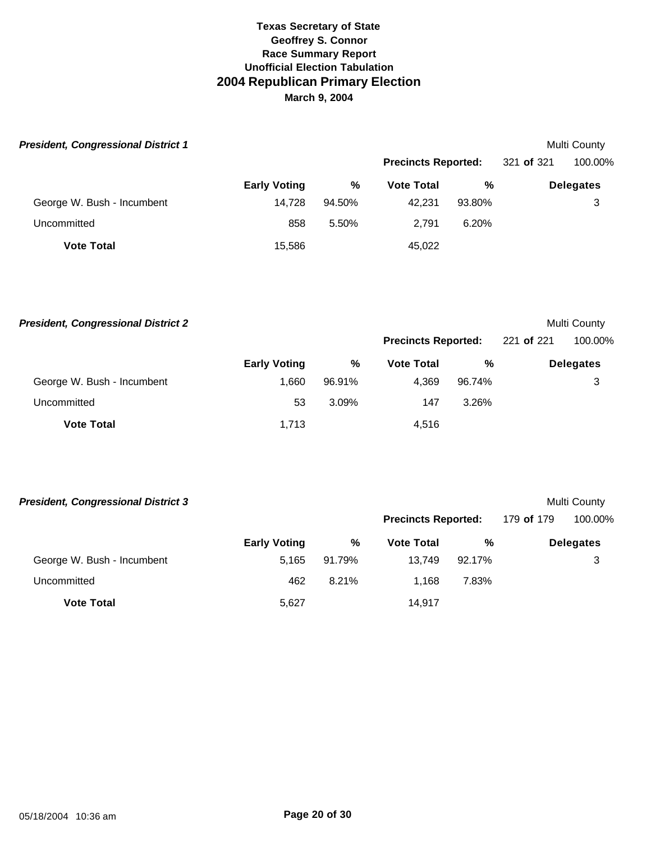| <b>President, Congressional District 1</b> |                     |        |                            |        |            | Multi County     |
|--------------------------------------------|---------------------|--------|----------------------------|--------|------------|------------------|
|                                            |                     |        | <b>Precincts Reported:</b> |        | 321 of 321 | 100.00%          |
|                                            | <b>Early Voting</b> | %      | <b>Vote Total</b>          | %      |            | <b>Delegates</b> |
| George W. Bush - Incumbent                 | 14.728              | 94.50% | 42.231                     | 93.80% |            | 3                |
| Uncommitted                                | 858                 | 5.50%  | 2.791                      | 6.20%  |            |                  |
| <b>Vote Total</b>                          | 15,586              |        | 45,022                     |        |            |                  |

| <b>President, Congressional District 2</b> |                     |        |                            |        |            | Multi County     |
|--------------------------------------------|---------------------|--------|----------------------------|--------|------------|------------------|
|                                            |                     |        | <b>Precincts Reported:</b> |        | 221 of 221 | 100.00%          |
|                                            | <b>Early Voting</b> | %      | <b>Vote Total</b>          | %      |            | <b>Delegates</b> |
| George W. Bush - Incumbent                 | 1.660               | 96.91% | 4.369                      | 96.74% |            | 3                |
| Uncommitted                                | 53                  | 3.09%  | 147                        | 3.26%  |            |                  |
| <b>Vote Total</b>                          | 1,713               |        | 4,516                      |        |            |                  |

| <b>President, Congressional District 3</b> |                     |        |                            |        |            | Multi County     |
|--------------------------------------------|---------------------|--------|----------------------------|--------|------------|------------------|
|                                            |                     |        | <b>Precincts Reported:</b> |        | 179 of 179 | 100.00%          |
|                                            | <b>Early Voting</b> | %      | <b>Vote Total</b>          | %      |            | <b>Delegates</b> |
| George W. Bush - Incumbent                 | 5.165               | 91.79% | 13.749                     | 92.17% |            | 3                |
| Uncommitted                                | 462                 | 8.21%  | 1.168                      | 7.83%  |            |                  |
| <b>Vote Total</b>                          | 5,627               |        | 14.917                     |        |            |                  |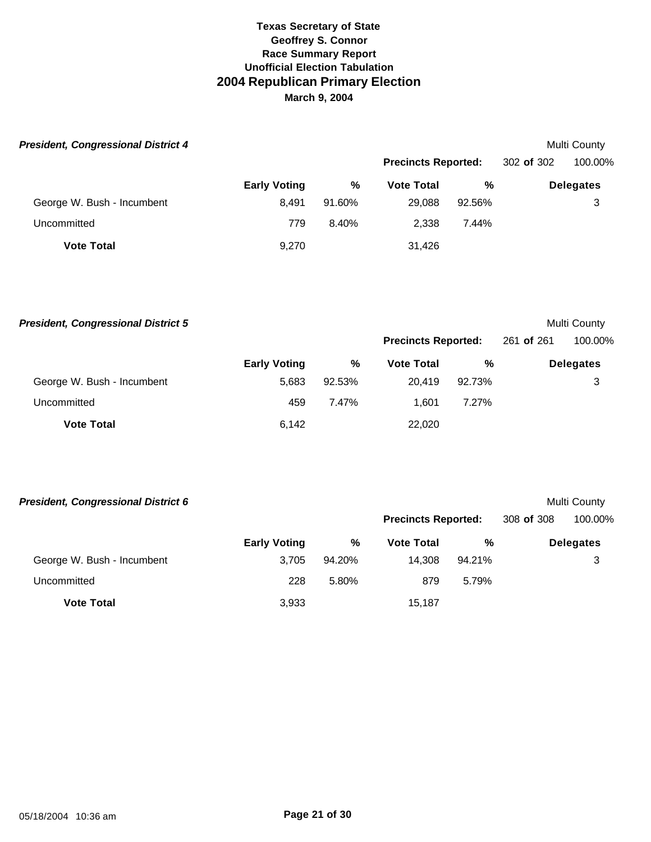| <b>President, Congressional District 4</b> |                     |        |                            |        |            | Multi County     |
|--------------------------------------------|---------------------|--------|----------------------------|--------|------------|------------------|
|                                            |                     |        | <b>Precincts Reported:</b> |        | 302 of 302 | 100.00%          |
|                                            | <b>Early Voting</b> | %      | <b>Vote Total</b>          | %      |            | <b>Delegates</b> |
| George W. Bush - Incumbent                 | 8.491               | 91.60% | 29,088                     | 92.56% |            | 3                |
| Uncommitted                                | 779                 | 8.40%  | 2,338                      | 7.44%  |            |                  |
| <b>Vote Total</b>                          | 9,270               |        | 31,426                     |        |            |                  |

| <b>President, Congressional District 5</b> |                     |        |                            |        |            | Multi County     |
|--------------------------------------------|---------------------|--------|----------------------------|--------|------------|------------------|
|                                            |                     |        | <b>Precincts Reported:</b> |        | 261 of 261 | 100.00%          |
|                                            | <b>Early Voting</b> | %      | <b>Vote Total</b>          | %      |            | <b>Delegates</b> |
| George W. Bush - Incumbent                 | 5.683               | 92.53% | 20.419                     | 92.73% |            | 3                |
| Uncommitted                                | 459                 | 7.47%  | 1.601                      | 7.27%  |            |                  |
| <b>Vote Total</b>                          | 6.142               |        | 22,020                     |        |            |                  |

| <b>President, Congressional District 6</b> |                     |        |                            |        |            | Multi County     |
|--------------------------------------------|---------------------|--------|----------------------------|--------|------------|------------------|
|                                            |                     |        | <b>Precincts Reported:</b> |        | 308 of 308 | 100.00%          |
|                                            | <b>Early Voting</b> | %      | <b>Vote Total</b>          | %      |            | <b>Delegates</b> |
| George W. Bush - Incumbent                 | 3.705               | 94.20% | 14.308                     | 94.21% |            | 3                |
| Uncommitted                                | 228                 | 5.80%  | 879                        | 5.79%  |            |                  |
| <b>Vote Total</b>                          | 3,933               |        | 15.187                     |        |            |                  |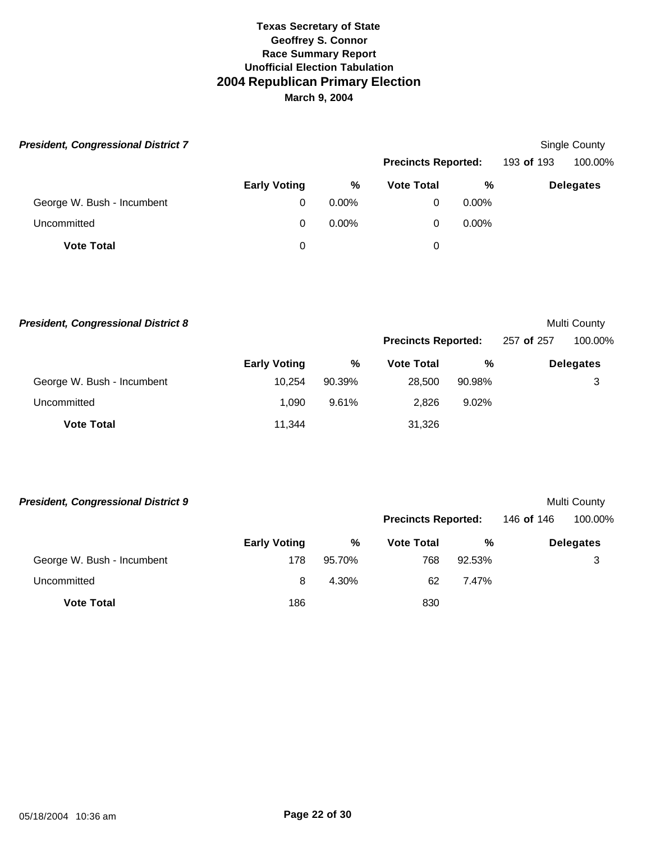| <b>President, Congressional District 7</b> |                     |          |                   |                            |  | Single County    |
|--------------------------------------------|---------------------|----------|-------------------|----------------------------|--|------------------|
|                                            |                     |          |                   | <b>Precincts Reported:</b> |  | 100.00%          |
|                                            | <b>Early Voting</b> | %        | <b>Vote Total</b> | %                          |  | <b>Delegates</b> |
| George W. Bush - Incumbent                 | 0                   | $0.00\%$ | 0                 | $0.00\%$                   |  |                  |
| Uncommitted                                | 0                   | $0.00\%$ | 0                 | $0.00\%$                   |  |                  |
| <b>Vote Total</b>                          | 0                   |          | 0                 |                            |  |                  |

| <b>President, Congressional District 8</b> |                     |        |                            |          |            | Multi County     |
|--------------------------------------------|---------------------|--------|----------------------------|----------|------------|------------------|
|                                            |                     |        | <b>Precincts Reported:</b> |          | 257 of 257 | 100.00%          |
|                                            | <b>Early Voting</b> | %      | <b>Vote Total</b>          | %        |            | <b>Delegates</b> |
| George W. Bush - Incumbent                 | 10.254              | 90.39% | 28.500                     | 90.98%   |            | 3                |
| Uncommitted                                | 1.090               | 9.61%  | 2.826                      | $9.02\%$ |            |                  |
| <b>Vote Total</b>                          | 11,344              |        | 31,326                     |          |            |                  |

| <b>President, Congressional District 9</b> |                     |        |                            |        |            | Multi County     |
|--------------------------------------------|---------------------|--------|----------------------------|--------|------------|------------------|
|                                            |                     |        | <b>Precincts Reported:</b> |        | 146 of 146 | 100.00%          |
|                                            | <b>Early Voting</b> | $\%$   | <b>Vote Total</b>          | %      |            | <b>Delegates</b> |
| George W. Bush - Incumbent                 | 178                 | 95.70% | 768                        | 92.53% |            | 3                |
| Uncommitted                                | 8                   | 4.30%  | 62                         | 7.47%  |            |                  |
| <b>Vote Total</b>                          | 186                 |        | 830                        |        |            |                  |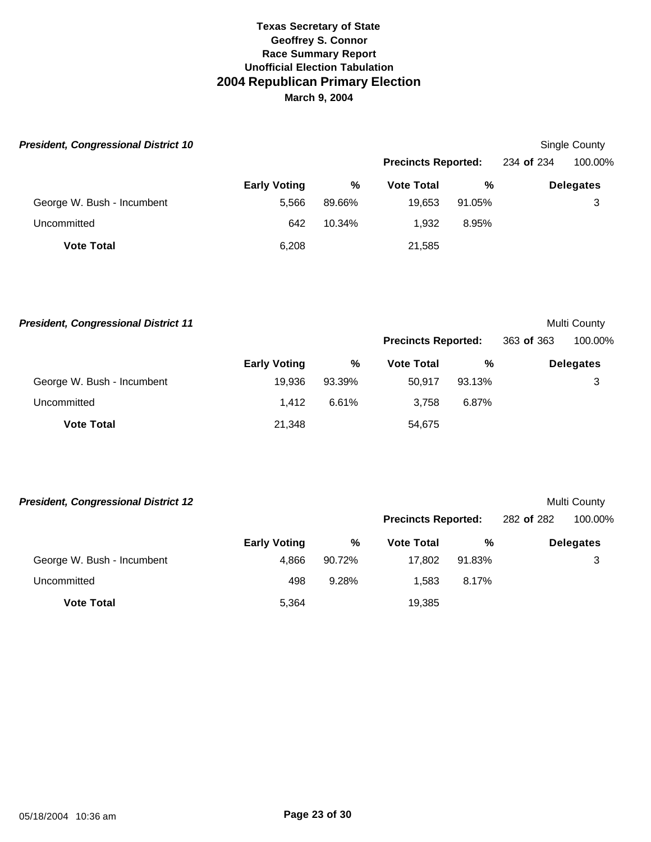| <b>President, Congressional District 10</b> |                     |        |                            |        |            | Single County    |
|---------------------------------------------|---------------------|--------|----------------------------|--------|------------|------------------|
|                                             |                     |        | <b>Precincts Reported:</b> |        | 234 of 234 | 100.00%          |
|                                             | <b>Early Voting</b> | %      | <b>Vote Total</b>          | %      |            | <b>Delegates</b> |
| George W. Bush - Incumbent                  | 5.566               | 89.66% | 19,653                     | 91.05% |            | 3                |
| Uncommitted                                 | 642                 | 10.34% | 1.932                      | 8.95%  |            |                  |
| <b>Vote Total</b>                           | 6,208               |        | 21,585                     |        |            |                  |

| <b>President, Congressional District 11</b> |                     |        |                            |        |            | Multi County     |
|---------------------------------------------|---------------------|--------|----------------------------|--------|------------|------------------|
|                                             |                     |        | <b>Precincts Reported:</b> |        | 363 of 363 | 100.00%          |
|                                             | <b>Early Voting</b> | %      | <b>Vote Total</b>          | %      |            | <b>Delegates</b> |
| George W. Bush - Incumbent                  | 19.936              | 93.39% | 50.917                     | 93.13% |            | 3                |
| Uncommitted                                 | 1.412               | 6.61%  | 3.758                      | 6.87%  |            |                  |
| <b>Vote Total</b>                           | 21,348              |        | 54,675                     |        |            |                  |

| <b>President, Congressional District 12</b> |                     |        |                            |        |            | Multi County     |
|---------------------------------------------|---------------------|--------|----------------------------|--------|------------|------------------|
|                                             |                     |        | <b>Precincts Reported:</b> |        | 282 of 282 | 100.00%          |
|                                             | <b>Early Voting</b> | %      | <b>Vote Total</b>          | %      |            | <b>Delegates</b> |
| George W. Bush - Incumbent                  | 4.866               | 90.72% | 17.802                     | 91.83% |            | 3                |
| Uncommitted                                 | 498                 | 9.28%  | 1.583                      | 8.17%  |            |                  |
| <b>Vote Total</b>                           | 5.364               |        | 19.385                     |        |            |                  |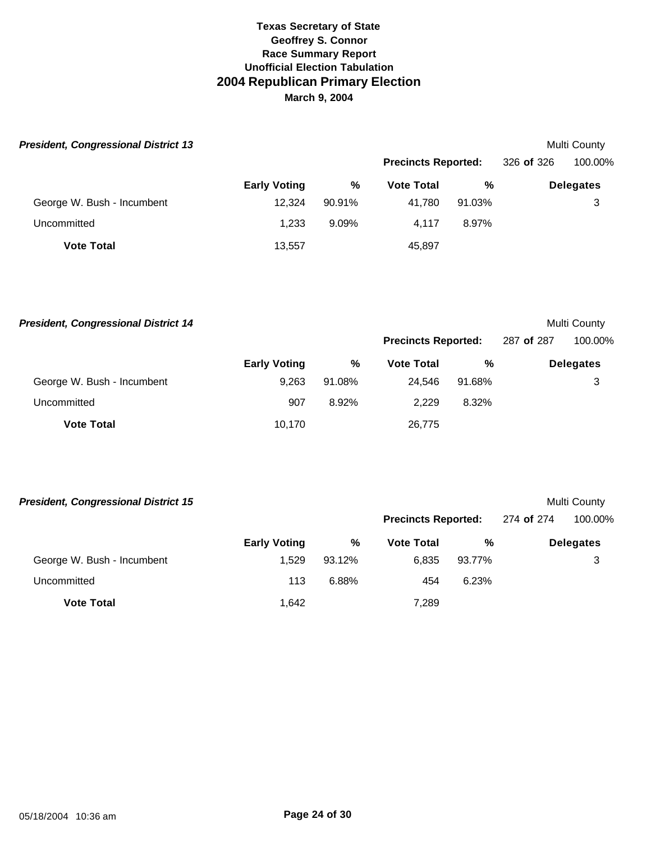| <b>President, Congressional District 13</b> |                     |        |                            |        |            | Multi County     |
|---------------------------------------------|---------------------|--------|----------------------------|--------|------------|------------------|
|                                             |                     |        | <b>Precincts Reported:</b> |        | 326 of 326 | 100.00%          |
|                                             | <b>Early Voting</b> | %      | <b>Vote Total</b>          | %      |            | <b>Delegates</b> |
| George W. Bush - Incumbent                  | 12.324              | 90.91% | 41.780                     | 91.03% |            | 3                |
| Uncommitted                                 | 1.233               | 9.09%  | 4.117                      | 8.97%  |            |                  |
| <b>Vote Total</b>                           | 13,557              |        | 45,897                     |        |            |                  |

| <b>President, Congressional District 14</b> |                     |        |                            |        |            | Multi County     |
|---------------------------------------------|---------------------|--------|----------------------------|--------|------------|------------------|
|                                             |                     |        | <b>Precincts Reported:</b> |        | 287 of 287 | 100.00%          |
|                                             | <b>Early Voting</b> | %      | <b>Vote Total</b>          | %      |            | <b>Delegates</b> |
| George W. Bush - Incumbent                  | 9.263               | 91.08% | 24.546                     | 91.68% |            | 3                |
| Uncommitted                                 | 907                 | 8.92%  | 2.229                      | 8.32%  |            |                  |
| <b>Vote Total</b>                           | 10,170              |        | 26,775                     |        |            |                  |

| <b>President, Congressional District 15</b> |                     |        |                            |        |            | Multi County     |
|---------------------------------------------|---------------------|--------|----------------------------|--------|------------|------------------|
|                                             |                     |        | <b>Precincts Reported:</b> |        | 274 of 274 | 100.00%          |
|                                             | <b>Early Voting</b> | %      | <b>Vote Total</b>          | %      |            | <b>Delegates</b> |
| George W. Bush - Incumbent                  | 1.529               | 93.12% | 6.835                      | 93.77% |            | 3                |
| Uncommitted                                 | 113                 | 6.88%  | 454                        | 6.23%  |            |                  |
| <b>Vote Total</b>                           | 1.642               |        | 7,289                      |        |            |                  |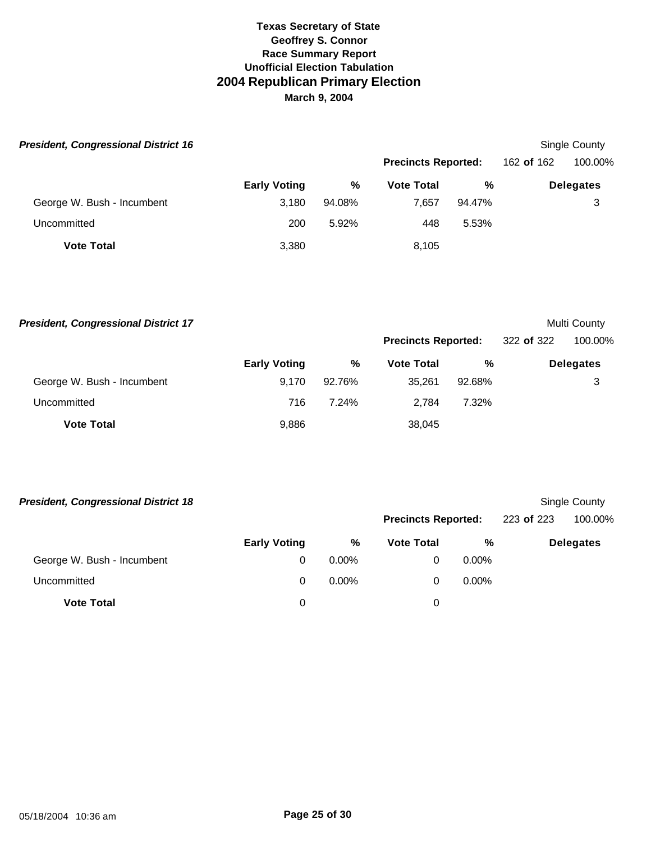| <b>President, Congressional District 16</b> |                     |        |                            |        |            | <b>Single County</b> |
|---------------------------------------------|---------------------|--------|----------------------------|--------|------------|----------------------|
|                                             |                     |        | <b>Precincts Reported:</b> |        | 162 of 162 | 100.00%              |
|                                             | <b>Early Voting</b> | %      | <b>Vote Total</b>          | %      |            | <b>Delegates</b>     |
| George W. Bush - Incumbent                  | 3,180               | 94.08% | 7.657                      | 94.47% |            | 3                    |
| Uncommitted                                 | 200                 | 5.92%  | 448                        | 5.53%  |            |                      |
| <b>Vote Total</b>                           | 3,380               |        | 8,105                      |        |            |                      |

| <b>President, Congressional District 17</b> |                     |        |                            |        |            | Multi County     |
|---------------------------------------------|---------------------|--------|----------------------------|--------|------------|------------------|
|                                             |                     |        | <b>Precincts Reported:</b> |        | 322 of 322 | 100.00%          |
|                                             | <b>Early Voting</b> | %      | <b>Vote Total</b>          | %      |            | <b>Delegates</b> |
| George W. Bush - Incumbent                  | 9.170               | 92.76% | 35.261                     | 92.68% |            | 3                |
| Uncommitted                                 | 716                 | 7.24%  | 2.784                      | 7.32%  |            |                  |
| <b>Vote Total</b>                           | 9.886               |        | 38,045                     |        |            |                  |

| <b>President, Congressional District 18</b> |                     |          |                   |                            |  | Single County    |
|---------------------------------------------|---------------------|----------|-------------------|----------------------------|--|------------------|
|                                             |                     |          |                   | <b>Precincts Reported:</b> |  | 100.00%          |
|                                             | <b>Early Voting</b> | %        | <b>Vote Total</b> | %                          |  | <b>Delegates</b> |
| George W. Bush - Incumbent                  | 0                   | $0.00\%$ | 0                 | $0.00\%$                   |  |                  |
| Uncommitted                                 | 0                   | $0.00\%$ | 0                 | $0.00\%$                   |  |                  |
| <b>Vote Total</b>                           | 0                   |          | 0                 |                            |  |                  |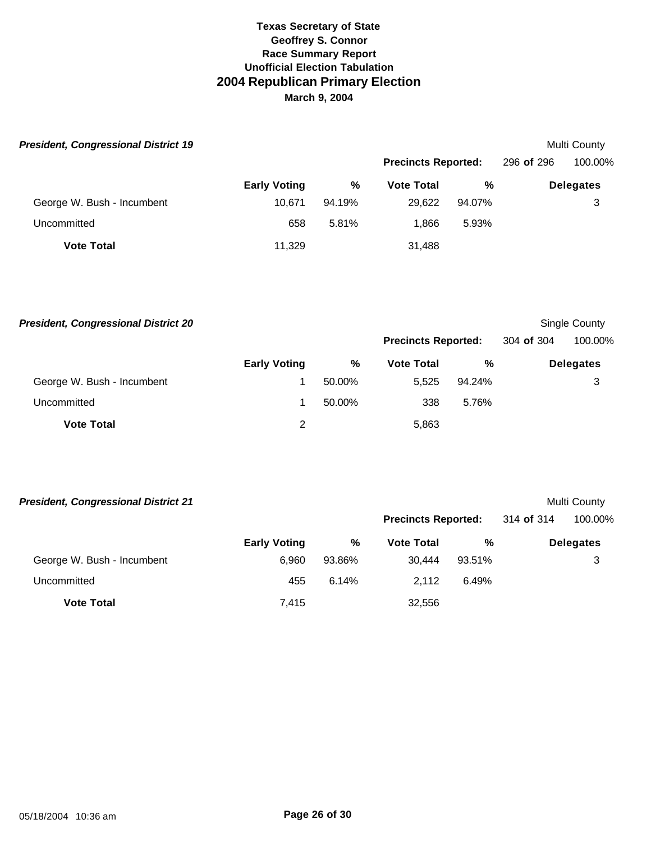| <b>President, Congressional District 19</b> |                     |        |                            |        |            | Multi County     |
|---------------------------------------------|---------------------|--------|----------------------------|--------|------------|------------------|
|                                             |                     |        | <b>Precincts Reported:</b> |        | 296 of 296 | 100.00%          |
|                                             | <b>Early Voting</b> | %      | <b>Vote Total</b>          | %      |            | <b>Delegates</b> |
| George W. Bush - Incumbent                  | 10.671              | 94.19% | 29,622                     | 94.07% |            | 3                |
| Uncommitted                                 | 658                 | 5.81%  | 1.866                      | 5.93%  |            |                  |
| <b>Vote Total</b>                           | 11,329              |        | 31,488                     |        |            |                  |

| <b>President, Congressional District 20</b> |                     |        |                            |        |            | Single County    |
|---------------------------------------------|---------------------|--------|----------------------------|--------|------------|------------------|
|                                             |                     |        | <b>Precincts Reported:</b> |        | 304 of 304 | 100.00%          |
|                                             | <b>Early Voting</b> | %      | <b>Vote Total</b>          | %      |            | <b>Delegates</b> |
| George W. Bush - Incumbent                  |                     | 50.00% | 5.525                      | 94.24% |            | 3                |
| Uncommitted                                 |                     | 50.00% | 338                        | 5.76%  |            |                  |
| <b>Vote Total</b>                           | 2                   |        | 5,863                      |        |            |                  |

| <b>President, Congressional District 21</b> |                     |        |                            |        |            | Multi County     |
|---------------------------------------------|---------------------|--------|----------------------------|--------|------------|------------------|
|                                             |                     |        | <b>Precincts Reported:</b> |        | 314 of 314 | 100.00%          |
|                                             | <b>Early Voting</b> | %      | <b>Vote Total</b>          | %      |            | <b>Delegates</b> |
| George W. Bush - Incumbent                  | 6.960               | 93.86% | 30.444                     | 93.51% |            | 3                |
| Uncommitted                                 | 455                 | 6.14%  | 2.112                      | 6.49%  |            |                  |
| <b>Vote Total</b>                           | 7,415               |        | 32,556                     |        |            |                  |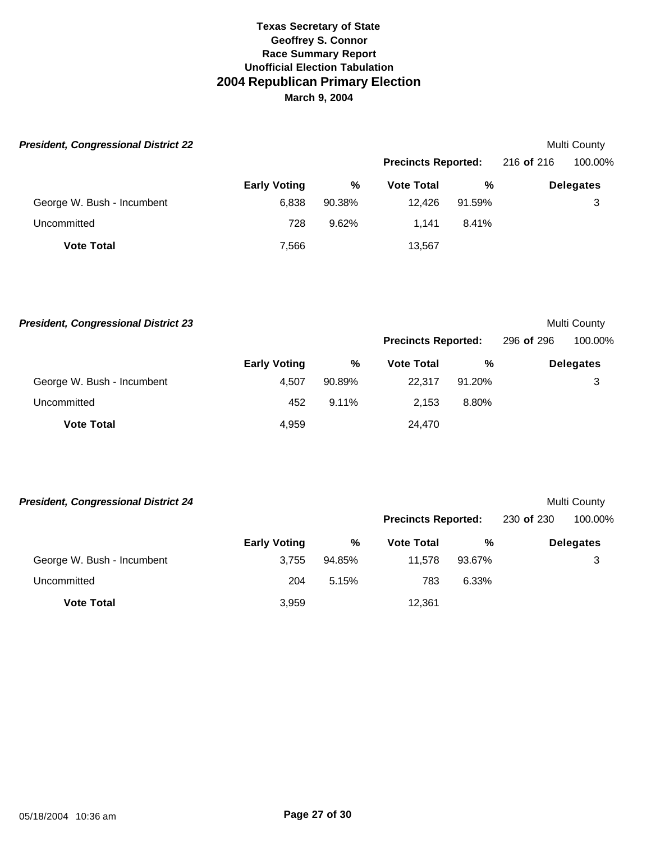| <b>President, Congressional District 22</b> |                     |        |                            |        |            | Multi County     |
|---------------------------------------------|---------------------|--------|----------------------------|--------|------------|------------------|
|                                             |                     |        | <b>Precincts Reported:</b> |        | 216 of 216 | 100.00%          |
|                                             | <b>Early Voting</b> | %      | <b>Vote Total</b>          | %      |            | <b>Delegates</b> |
| George W. Bush - Incumbent                  | 6.838               | 90.38% | 12.426                     | 91.59% |            | 3                |
| Uncommitted                                 | 728                 | 9.62%  | 1.141                      | 8.41%  |            |                  |
| <b>Vote Total</b>                           | 7,566               |        | 13,567                     |        |            |                  |

| <b>President, Congressional District 23</b> |                     |          |                            |        |            | Multi County     |
|---------------------------------------------|---------------------|----------|----------------------------|--------|------------|------------------|
|                                             |                     |          | <b>Precincts Reported:</b> |        | 296 of 296 | 100.00%          |
|                                             | <b>Early Voting</b> | %        | <b>Vote Total</b>          | %      |            | <b>Delegates</b> |
| George W. Bush - Incumbent                  | 4.507               | 90.89%   | 22.317                     | 91.20% |            | 3                |
| Uncommitted                                 | 452                 | $9.11\%$ | 2.153                      | 8.80%  |            |                  |
| <b>Vote Total</b>                           | 4.959               |          | 24.470                     |        |            |                  |

| <b>President, Congressional District 24</b> |                     |        |                            |        |            | Multi County     |
|---------------------------------------------|---------------------|--------|----------------------------|--------|------------|------------------|
|                                             |                     |        | <b>Precincts Reported:</b> |        | 230 of 230 | 100.00%          |
|                                             | <b>Early Voting</b> | %      | <b>Vote Total</b>          | %      |            | <b>Delegates</b> |
| George W. Bush - Incumbent                  | 3.755               | 94.85% | 11.578                     | 93.67% |            | 3                |
| Uncommitted                                 | 204                 | 5.15%  | 783                        | 6.33%  |            |                  |
| <b>Vote Total</b>                           | 3,959               |        | 12.361                     |        |            |                  |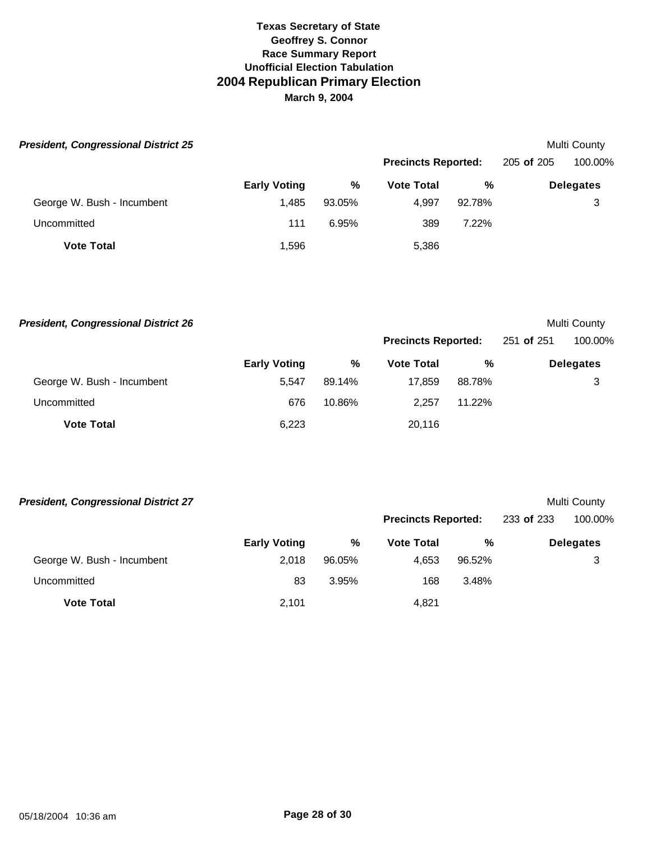| <b>President, Congressional District 25</b> |                     |        |                            |          |            | Multi County     |
|---------------------------------------------|---------------------|--------|----------------------------|----------|------------|------------------|
|                                             |                     |        | <b>Precincts Reported:</b> |          | 205 of 205 | 100.00%          |
|                                             | <b>Early Voting</b> | %      | <b>Vote Total</b>          | %        |            | <b>Delegates</b> |
| George W. Bush - Incumbent                  | 1.485               | 93.05% | 4,997                      | 92.78%   |            | 3                |
| Uncommitted                                 | 111                 | 6.95%  | 389                        | $7.22\%$ |            |                  |
| <b>Vote Total</b>                           | 1,596               |        | 5,386                      |          |            |                  |

| <b>President, Congressional District 26</b> |                     |        |                            |        |            | Multi County     |
|---------------------------------------------|---------------------|--------|----------------------------|--------|------------|------------------|
|                                             |                     |        | <b>Precincts Reported:</b> |        | 251 of 251 | 100.00%          |
|                                             | <b>Early Voting</b> | %      | <b>Vote Total</b>          | %      |            | <b>Delegates</b> |
| George W. Bush - Incumbent                  | 5.547               | 89.14% | 17.859                     | 88.78% |            | 3                |
| Uncommitted                                 | 676                 | 10.86% | 2.257                      | 11.22% |            |                  |
| <b>Vote Total</b>                           | 6.223               |        | 20.116                     |        |            |                  |

| <b>President, Congressional District 27</b> |                     |        |                            |        |            | Multi County     |
|---------------------------------------------|---------------------|--------|----------------------------|--------|------------|------------------|
|                                             |                     |        | <b>Precincts Reported:</b> |        | 233 of 233 | 100.00%          |
|                                             | <b>Early Voting</b> | %      | <b>Vote Total</b>          | %      |            | <b>Delegates</b> |
| George W. Bush - Incumbent                  | 2.018               | 96.05% | 4.653                      | 96.52% |            | 3                |
| Uncommitted                                 | 83                  | 3.95%  | 168                        | 3.48%  |            |                  |
| <b>Vote Total</b>                           | 2.101               |        | 4.821                      |        |            |                  |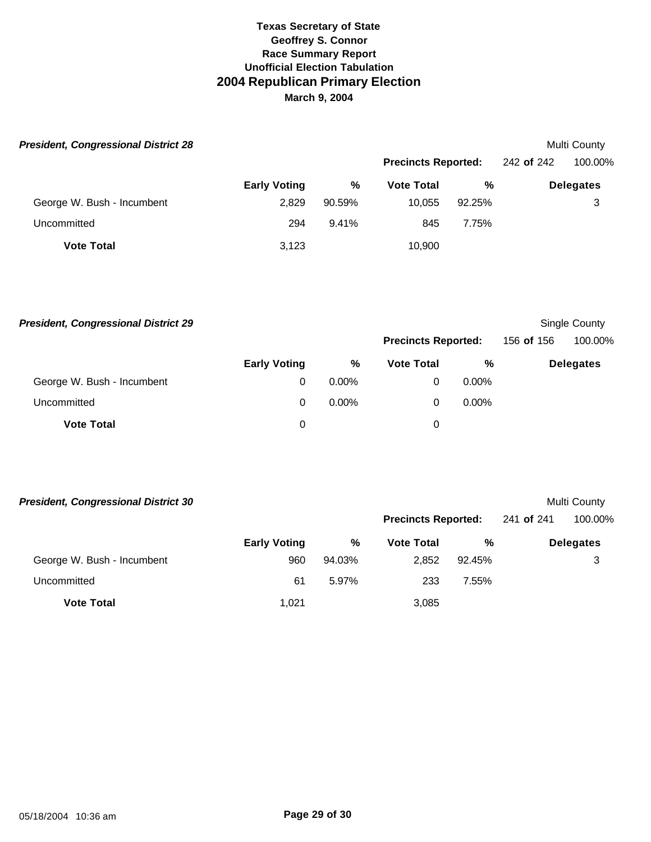| <b>President, Congressional District 28</b> |                     |        |                            |        |            | Multi County     |
|---------------------------------------------|---------------------|--------|----------------------------|--------|------------|------------------|
|                                             |                     |        | <b>Precincts Reported:</b> |        | 242 of 242 | 100.00%          |
|                                             | <b>Early Voting</b> | %      | <b>Vote Total</b>          | %      |            | <b>Delegates</b> |
| George W. Bush - Incumbent                  | 2,829               | 90.59% | 10.055                     | 92.25% |            | 3                |
| Uncommitted                                 | 294                 | 9.41%  | 845                        | 7.75%  |            |                  |
| <b>Vote Total</b>                           | 3,123               |        | 10.900                     |        |            |                  |

| <b>President, Congressional District 29</b> |                     |          |                            |          |            | Single County    |
|---------------------------------------------|---------------------|----------|----------------------------|----------|------------|------------------|
|                                             |                     |          | <b>Precincts Reported:</b> |          | 156 of 156 | 100.00%          |
|                                             | <b>Early Voting</b> | %        | <b>Vote Total</b>          | %        |            | <b>Delegates</b> |
| George W. Bush - Incumbent                  | 0                   | $0.00\%$ | 0                          | $0.00\%$ |            |                  |
| Uncommitted                                 | 0                   | $0.00\%$ | 0                          | $0.00\%$ |            |                  |
| <b>Vote Total</b>                           | 0                   |          | 0                          |          |            |                  |

| <b>President, Congressional District 30</b> |                     |        |                            |        | Multi County |                  |
|---------------------------------------------|---------------------|--------|----------------------------|--------|--------------|------------------|
|                                             |                     |        | <b>Precincts Reported:</b> |        | 241 of 241   | 100.00%          |
|                                             | <b>Early Voting</b> | %      | <b>Vote Total</b>          | %      |              | <b>Delegates</b> |
| George W. Bush - Incumbent                  | 960                 | 94.03% | 2.852                      | 92.45% |              | 3                |
| Uncommitted                                 | 61                  | 5.97%  | 233                        | 7.55%  |              |                  |
| <b>Vote Total</b>                           | 1.021               |        | 3,085                      |        |              |                  |